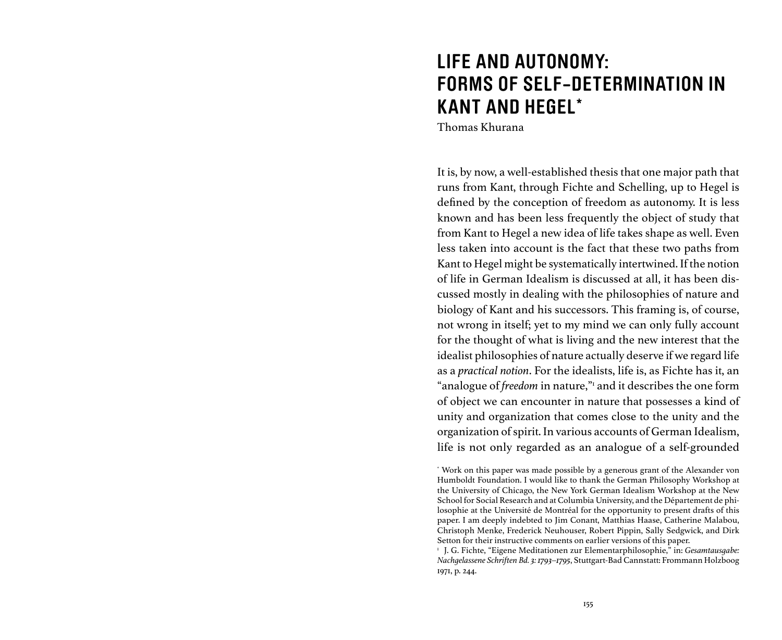# **LIFE AND AUTONOMY: FORMS OF SELF-DETERMINATION IN KANT AND HEGEL\***

Thomas Khurana

It is, by now, a well-established thesis that one major path that runs from Kant, through Fichte and Schelling, up to Hegel is defined by the conception of freedom as autonomy. It is less known and has been less frequently the object of study that from Kant to Hegel a new idea of life takes shape as well. Even less taken into account is the fact that these two paths from Kant to Hegel might be systematically intertwined. If the notion of life in German Idealism is discussed at all, it has been discussed mostly in dealing with the philosophies of nature and biology of Kant and his successors. This framing is, of course, not wrong in itself; yet to my mind we can only fully account for the thought of what is living and the new interest that the idealist philosophies of nature actually deserve if we regard life as a *practical notion*. For the idealists, life is, as Fichte has it, an "analogue of *freedom* in nature," and it describes the one form of object we can encounter in nature that possesses a kind of unity and organization that comes close to the unity and the organization of spirit. In various accounts of German Idealism, life is not only regarded as an analogue of a self-grounded

<sup>\*</sup> Work on this paper was made possible by a generous grant of the Alexander von Humboldt Foundation. I would like to thank the German Philosophy Workshop at the University of Chicago, the New York German Idealism Workshop at the New School for Social Research and at Columbia University, and the Département de philosophie at the Université de Montréal for the opportunity to present drafts of this paper. I am deeply indebted to Jim Conant, Matthias Haase, Catherine Malabou, Christoph Menke, Frederick Neuhouser, Robert Pippin, Sally Sedgwick, and Dirk Setton for their instructive comments on earlier versions of this paper.

<sup>1</sup> J. G. Fichte, "Eigene Meditationen zur Elementarphilosophie," in: *Gesamtausgabe: Nachgelassene Schriften Bd. 3: 1793–1795*, Stuttgart-Bad Cannstatt: Frommann Holzboog 1971, p. 244.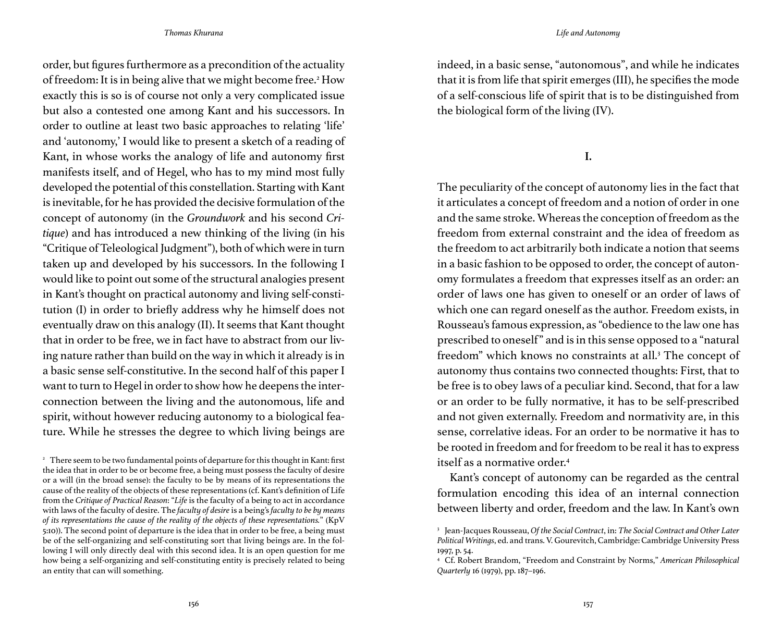order, but figures furthermore as a precondition of the actuality of freedom: It is in being alive that we might become free.<sup>2</sup> How exactly this is so is of course not only a very complicated issue but also a contested one among Kant and his successors. In order to outline at least two basic approaches to relating 'life' and 'autonomy,' I would like to present a sketch of a reading of Kant, in whose works the analogy of life and autonomy first manifests itself, and of Hegel, who has to my mind most fully developed the potential of this constellation. Starting with Kant is inevitable, for he has provided the decisive formulation of the concept of autonomy (in the *Groundwork* and his second *Critique*) and has introduced a new thinking of the living (in his "Critique of Teleological Judgment"), both of which were in turn taken up and developed by his successors. In the following I would like to point out some of the structural analogies present in Kant's thought on practical autonomy and living self-constitution (I) in order to briefly address why he himself does not eventually draw on this analogy (II). It seems that Kant thought that in order to be free, we in fact have to abstract from our living nature rather than build on the way in which it already is in a basic sense self-constitutive. In the second half of this paper I want to turn to Hegel in order to show how he deepens the interconnection between the living and the autonomous, life and spirit, without however reducing autonomy to a biological feature. While he stresses the degree to which living beings are

indeed, in a basic sense, "autonomous", and while he indicates that it is from life that spirit emerges (III), he specifies the mode of a self-conscious life of spirit that is to be distinguished from the biological form of the living (IV).

**I.**

The peculiarity of the concept of autonomy lies in the fact that it articulates a concept of freedom and a notion of order in one and the same stroke. Whereas the conception of freedom as the freedom from external constraint and the idea of freedom as the freedom to act arbitrarily both indicate a notion that seems in a basic fashion to be opposed to order, the concept of autonomy formulates a freedom that expresses itself as an order: an order of laws one has given to oneself or an order of laws of which one can regard oneself as the author. Freedom exists, in Rousseau's famous expression, as "obedience to the law one has prescribed to oneself" and is in this sense opposed to a "natural freedom" which knows no constraints at all.<sup>3</sup> The concept of autonomy thus contains two connected thoughts: First, that to be free is to obey laws of a peculiar kind. Second, that for a law or an order to be fully normative, it has to be self-prescribed and not given externally. Freedom and normativity are, in this sense, correlative ideas. For an order to be normative it has to be rooted in freedom and for freedom to be real it has to express itself as a normative order<sup>4</sup>

Kant's concept of autonomy can be regarded as the central formulation encoding this idea of an internal connection between liberty and order, freedom and the law. In Kant's own

<sup>&</sup>lt;sup>2</sup> There seem to be two fundamental points of departure for this thought in Kant: first the idea that in order to be or become free, a being must possess the faculty of desire or a will (in the broad sense): the faculty to be by means of its representations the cause of the reality of the objects of these representations (cf. Kant's definition of Life from the *Critique of Practical Reason*: "*Life* is the faculty of a being to act in accordance with laws of the faculty of desire. The *faculty of desire* is a being's *faculty to be by means of its representations the cause of the reality of the objects of these representations.*" (KpV 5:10)). The second point of departure is the idea that in order to be free, a being must be of the self-organizing and self-constituting sort that living beings are. In the following I will only directly deal with this second idea. It is an open question for me how being a self-organizing and self-constituting entity is precisely related to being an entity that can will something.

<sup>3</sup> Jean-Jacques Rousseau, *Of the Social Contract*, in: *The Social Contract and Other Later Political Writings*, ed. and trans. V. Gourevitch, Cambridge: Cambridge University Press 1997, p. 54.

<sup>4</sup> Cf. Robert Brandom, "Freedom and Constraint by Norms," *American Philosophical Quarterly* 16 (1979), pp. 187–196.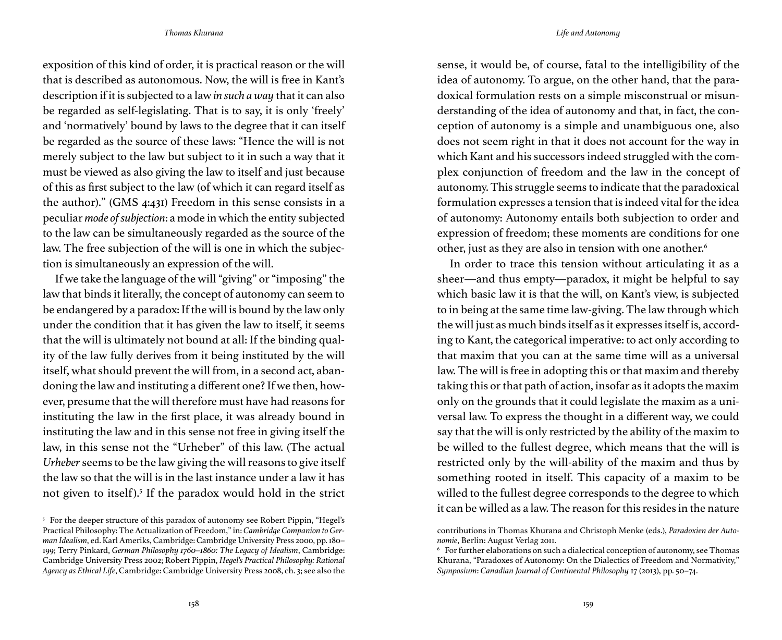exposition of this kind of order, it is practical reason or the will that is described as autonomous. Now, the will is free in Kant's description if it is subjected to a law *in such a way* that it can also be regarded as self-legislating. That is to say, it is only 'freely' and 'normatively' bound by laws to the degree that it can itself be regarded as the source of these laws: "Hence the will is not merely subject to the law but subject to it in such a way that it must be viewed as also giving the law to itself and just because of this as first subject to the law (of which it can regard itself as the author)." (GMS 4:431) Freedom in this sense consists in a peculiar *mode of subjection*: a mode in which the entity subjected to the law can be simultaneously regarded as the source of the law. The free subjection of the will is one in which the subjection is simultaneously an expression of the will.

If we take the language of the will "giving" or "imposing" the law that binds it literally, the concept of autonomy can seem to be endangered by a paradox: If the will is bound by the law only under the condition that it has given the law to itself, it seems that the will is ultimately not bound at all: If the binding quality of the law fully derives from it being instituted by the will itself, what should prevent the will from, in a second act, abandoning the law and instituting a different one? If we then, however, presume that the will therefore must have had reasons for instituting the law in the first place, it was already bound in instituting the law and in this sense not free in giving itself the law, in this sense not the "Urheber" of this law. (The actual *Urheber* seems to be the law giving the will reasons to give itself the law so that the will is in the last instance under a law it has not given to itself).<sup>5</sup> If the paradox would hold in the strict

sense, it would be, of course, fatal to the intelligibility of the idea of autonomy. To argue, on the other hand, that the paradoxical formulation rests on a simple misconstrual or misunderstanding of the idea of autonomy and that, in fact, the conception of autonomy is a simple and unambiguous one, also does not seem right in that it does not account for the way in which Kant and his successors indeed struggled with the complex conjunction of freedom and the law in the concept of autonomy. This struggle seems to indicate that the paradoxical formulation expresses a tension that is indeed vital for the idea of autonomy: Autonomy entails both subjection to order and expression of freedom; these moments are conditions for one other, just as they are also in tension with one another.<sup>6</sup>

In order to trace this tension without articulating it as a sheer—and thus empty—paradox, it might be helpful to say which basic law it is that the will, on Kant's view, is subjected to in being at the same time law-giving. The law through which the will just as much binds itself as it expresses itself is, according to Kant, the categorical imperative: to act only according to that maxim that you can at the same time will as a universal law. The will is free in adopting this or that maxim and thereby taking this or that path of action, insofar as it adopts the maxim only on the grounds that it could legislate the maxim as a universal law. To express the thought in a different way, we could say that the will is only restricted by the ability of the maxim to be willed to the fullest degree, which means that the will is restricted only by the will-ability of the maxim and thus by something rooted in itself. This capacity of a maxim to be willed to the fullest degree corresponds to the degree to which it can be willed as a law. The reason for this resides in the nature

<sup>5</sup> For the deeper structure of this paradox of autonomy see Robert Pippin, "Hegel's Practical Philosophy: The Actualization of Freedom," in: *Cambridge Companion to German Idealism*, ed. Karl Ameriks, Cambridge: Cambridge University Press 2000, pp. 180– 199; Terry Pinkard, *German Philosophy 1760–1860: The Legacy of Idealism*, Cambridge: Cambridge University Press 2002; Robert Pippin, *Hegel's Practical Philosophy: Rational Agency as Ethical Life*, Cambridge: Cambridge University Press 2008, ch. 3; see also the

contributions in Thomas Khurana and Christoph Menke (eds.), *Paradoxien der Autonomie*, Berlin: August Verlag 2011.

<sup>6</sup> For further elaborations on such a dialectical conception of autonomy, see Thomas Khurana, "Paradoxes of Autonomy: On the Dialectics of Freedom and Normativity," *Symposium*: *Canadian Journal of Continental Philosophy* 17 (2013), pp. 50–74.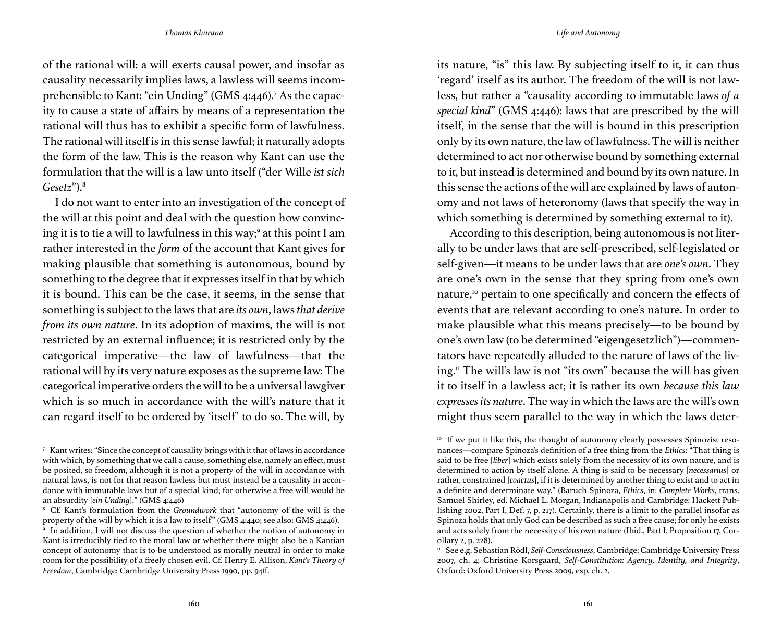of the rational will: a will exerts causal power, and insofar as causality necessarily implies laws, a lawless will seems incomprehensible to Kant: "ein Unding" (GMS 4:446).7 As the capacity to cause a state of affairs by means of a representation the rational will thus has to exhibit a specific form of lawfulness. The rational will itself is in this sense lawful; it naturally adopts the form of the law. This is the reason why Kant can use the formulation that the will is a law unto itself ("der Wille *ist sich Gesetz*").8

I do not want to enter into an investigation of the concept of the will at this point and deal with the question how convincing it is to tie a will to lawfulness in this way;<sup>9</sup> at this point I am rather interested in the *form* of the account that Kant gives for making plausible that something is autonomous, bound by something to the degree that it expresses itself in that by which it is bound. This can be the case, it seems, in the sense that something is subject to the laws that are *its own*, laws *that derive from its own nature*. In its adoption of maxims, the will is not restricted by an external influence; it is restricted only by the categorical imperative—the law of lawfulness—that the rational will by its very nature exposes as the supreme law: The categorical imperative orders the will to be a universal lawgiver which is so much in accordance with the will's nature that it can regard itself to be ordered by 'itself' to do so. The will, by

its nature, "is" this law. By subjecting itself to it, it can thus 'regard' itself as its author. The freedom of the will is not lawless, but rather a "causality according to immutable laws *of a special kind*" (GMS 4:446): laws that are prescribed by the will itself, in the sense that the will is bound in this prescription only by its own nature, the law of lawfulness. The will is neither determined to act nor otherwise bound by something external to it, but instead is determined and bound by its own nature. In this sense the actions of the will are explained by laws of autonomy and not laws of heteronomy (laws that specify the way in which something is determined by something external to it).

According to this description, being autonomous is not literally to be under laws that are self-prescribed, self-legislated or self-given—it means to be under laws that are *one's own*. They are one's own in the sense that they spring from one's own nature,<sup>10</sup> pertain to one specifically and concern the effects of events that are relevant according to one's nature. In order to make plausible what this means precisely—to be bound by one's own law (to be determined "eigengesetzlich")—commentators have repeatedly alluded to the nature of laws of the living.11 The will's law is not "its own" because the will has given it to itself in a lawless act; it is rather its own *because this law expresses its nature*. The way in which the laws are the will's own might thus seem parallel to the way in which the laws deter-

<sup>7</sup> Kant writes: "Since the concept of causality brings with it that of laws in accordance with which, by something that we call a cause, something else, namely an effect, must be posited, so freedom, although it is not a property of the will in accordance with natural laws, is not for that reason lawless but must instead be a causality in accordance with immutable laws but of a special kind; for otherwise a free will would be an absurdity [*ein Unding*]." (GMS 4:446)

<sup>8</sup> Cf. Kant's formulation from the *Groundwork* that "autonomy of the will is the property of the will by which it is a law to itself" (GMS 4:440; see also: GMS 4:446).

 $\frac{9}{9}$  In addition, I will not discuss the question of whether the notion of autonomy in Kant is irreducibly tied to the moral law or whether there might also be a Kantian concept of autonomy that is to be understood as morally neutral in order to make room for the possibility of a freely chosen evil. Cf. Henry E. Allison, *Kant's Theory of Freedom*, Cambridge: Cambridge University Press 1990, pp. 94ff.

<sup>&</sup>lt;sup>10</sup> If we put it like this, the thought of autonomy clearly possesses Spinozist resonances—compare Spinoza's definition of a free thing from the *Ethics*: "That thing is said to be free [*liber*] which exists solely from the necessity of its own nature, and is determined to action by itself alone. A thing is said to be necessary [*necessarius*] or rather, constrained [*coactus*], if it is determined by another thing to exist and to act in a definite and determinate way." (Baruch Spinoza, *Ethics*, in: *Complete Works*, trans. Samuel Shirley, ed. Michael L. Morgan, Indianapolis and Cambridge: Hackett Publishing 2002, Part I, Def. 7, p. 217). Certainly, there is a limit to the parallel insofar as Spinoza holds that only God can be described as such a free cause; for only he exists and acts solely from the necessity of his own nature (Ibid., Part I, Proposition 17, Corollary 2, p. 228).

<sup>11</sup> See e.g. Sebastian Rödl, *Self-Consciousness*, Cambridge: Cambridge University Press 2007, ch. 4; Christine Korsgaard, *Self-Constitution: Agency, Identity, and Integrity*, Oxford: Oxford University Press 2009, esp. ch. 2.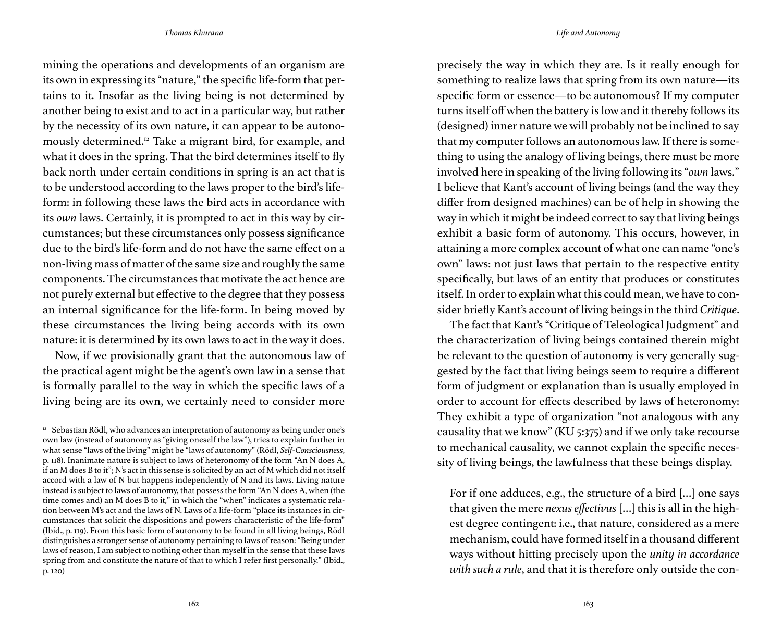mining the operations and developments of an organism are its own in expressing its "nature," the specific life-form that pertains to it. Insofar as the living being is not determined by another being to exist and to act in a particular way, but rather by the necessity of its own nature, it can appear to be autonomously determined.12 Take a migrant bird, for example, and what it does in the spring. That the bird determines itself to fly back north under certain conditions in spring is an act that is to be understood according to the laws proper to the bird's lifeform: in following these laws the bird acts in accordance with its *own* laws. Certainly, it is prompted to act in this way by circumstances; but these circumstances only possess significance due to the bird's life-form and do not have the same effect on a non-living mass of matter of the same size and roughly the same components. The circumstances that motivate the act hence are not purely external but effective to the degree that they possess an internal significance for the life-form. In being moved by these circumstances the living being accords with its own nature: it is determined by its own laws to act in the way it does.

Now, if we provisionally grant that the autonomous law of the practical agent might be the agent's own law in a sense that is formally parallel to the way in which the specific laws of a living being are its own, we certainly need to consider more precisely the way in which they are. Is it really enough for something to realize laws that spring from its own nature—its specific form or essence—to be autonomous? If my computer turns itself off when the battery is low and it thereby follows its (designed) inner nature we will probably not be inclined to say that my computer follows an autonomous law. If there is something to using the analogy of living beings, there must be more involved here in speaking of the living following its "*own* laws." I believe that Kant's account of living beings (and the way they differ from designed machines) can be of help in showing the way in which it might be indeed correct to say that living beings exhibit a basic form of autonomy. This occurs, however, in attaining a more complex account of what one can name "one's own" laws: not just laws that pertain to the respective entity specifically, but laws of an entity that produces or constitutes itself. In order to explain what this could mean, we have to consider briefly Kant's account of living beings in the third *Critique*.

The fact that Kant's "Critique of Teleological Judgment" and the characterization of living beings contained therein might be relevant to the question of autonomy is very generally suggested by the fact that living beings seem to require a different form of judgment or explanation than is usually employed in order to account for effects described by laws of heteronomy: They exhibit a type of organization "not analogous with any causality that we know" (KU 5:375) and if we only take recourse to mechanical causality, we cannot explain the specific necessity of living beings, the lawfulness that these beings display.

For if one adduces, e.g., the structure of a bird […] one says that given the mere *nexus effectivus* […] this is all in the highest degree contingent: i.e., that nature, considered as a mere mechanism, could have formed itself in a thousand different ways without hitting precisely upon the *unity in accordance with such a rule*, and that it is therefore only outside the con-

 $12$  Sebastian Rödl, who advances an interpretation of autonomy as being under one's own law (instead of autonomy as "giving oneself the law"), tries to explain further in what sense "laws of the living" might be "laws of autonomy" (Rödl, *Self-Consciousness*, p. 118). Inanimate nature is subject to laws of heteronomy of the form "An N does A, if an M does B to it"; N's act in this sense is solicited by an act of M which did not itself accord with a law of N but happens independently of N and its laws. Living nature instead is subject to laws of autonomy, that possess the form "An N does A, when (the time comes and) an M does B to it," in which the "when" indicates a systematic relation between M's act and the laws of N. Laws of a life-form "place its instances in circumstances that solicit the dispositions and powers characteristic of the life-form" (Ibid., p. 119). From this basic form of autonomy to be found in all living beings, Rödl distinguishes a stronger sense of autonomy pertaining to laws of reason: "Being under laws of reason, I am subject to nothing other than myself in the sense that these laws spring from and constitute the nature of that to which I refer first personally." (Ibid., p. 120)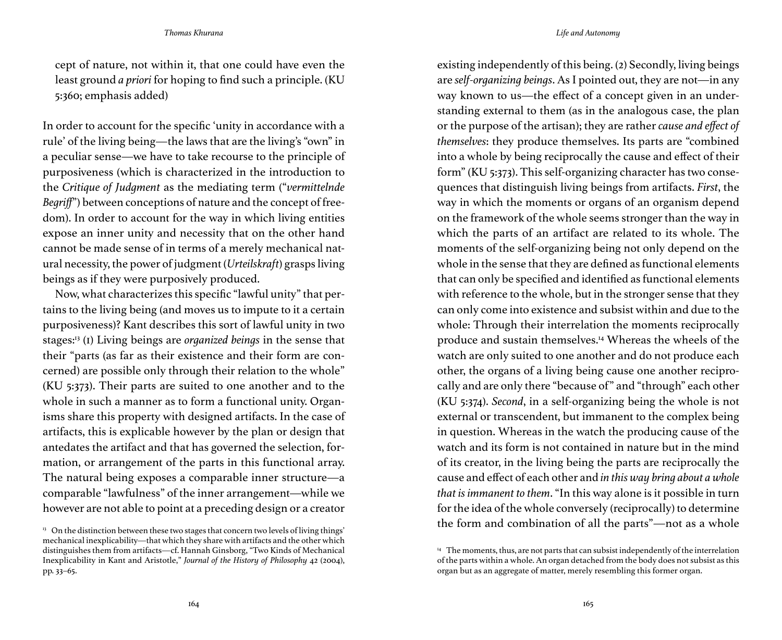cept of nature, not within it, that one could have even the least ground *a priori* for hoping to find such a principle. (KU 5:360; emphasis added)

In order to account for the specific 'unity in accordance with a rule' of the living being—the laws that are the living's "own" in a peculiar sense—we have to take recourse to the principle of purposiveness (which is characterized in the introduction to the *Critique of Judgment* as the mediating term ("*vermittelnde Begriff*") between conceptions of nature and the concept of freedom). In order to account for the way in which living entities expose an inner unity and necessity that on the other hand cannot be made sense of in terms of a merely mechanical natural necessity, the power of judgment (*Urteilskraft*) grasps living beings as if they were purposively produced.

Now, what characterizes this specific "lawful unity" that pertains to the living being (and moves us to impute to it a certain purposiveness)? Kant describes this sort of lawful unity in two stages:13 (1) Living beings are *organized beings* in the sense that their "parts (as far as their existence and their form are concerned) are possible only through their relation to the whole" (KU 5:373). Their parts are suited to one another and to the whole in such a manner as to form a functional unity. Organisms share this property with designed artifacts. In the case of artifacts, this is explicable however by the plan or design that antedates the artifact and that has governed the selection, formation, or arrangement of the parts in this functional array. The natural being exposes a comparable inner structure—a comparable "lawfulness" of the inner arrangement—while we however are not able to point at a preceding design or a creator

existing independently of this being. (2) Secondly, living beings are *self-organizing beings*. As I pointed out, they are not—in any way known to us—the effect of a concept given in an understanding external to them (as in the analogous case, the plan or the purpose of the artisan); they are rather *cause and effect of themselves*: they produce themselves. Its parts are "combined into a whole by being reciprocally the cause and effect of their form" (KU 5:373). This self-organizing character has two consequences that distinguish living beings from artifacts. *First*, the way in which the moments or organs of an organism depend on the framework of the whole seems stronger than the way in which the parts of an artifact are related to its whole. The moments of the self-organizing being not only depend on the whole in the sense that they are defined as functional elements that can only be specified and identified as functional elements with reference to the whole, but in the stronger sense that they can only come into existence and subsist within and due to the whole: Through their interrelation the moments reciprocally produce and sustain themselves.14 Whereas the wheels of the watch are only suited to one another and do not produce each other, the organs of a living being cause one another reciprocally and are only there "because of" and "through" each other (KU 5:374). *Second*, in a self-organizing being the whole is not external or transcendent, but immanent to the complex being in question. Whereas in the watch the producing cause of the watch and its form is not contained in nature but in the mind of its creator, in the living being the parts are reciprocally the cause and effect of each other and *in this way bring about a whole that is immanent to them*. "In this way alone is it possible in turn for the idea of the whole conversely (reciprocally) to determine the form and combination of all the parts"—not as a whole

<sup>&</sup>lt;sup>13</sup> On the distinction between these two stages that concern two levels of living things' mechanical inexplicability—that which they share with artifacts and the other which distinguishes them from artifacts—cf. Hannah Ginsborg, "Two Kinds of Mechanical Inexplicability in Kant and Aristotle," *Journal of the History of Philosophy* 42 (2004), pp. 33–65.

<sup>&</sup>lt;sup>14</sup> The moments, thus, are not parts that can subsist independently of the interrelation of the parts within a whole. An organ detached from the body does not subsist as this organ but as an aggregate of matter, merely resembling this former organ.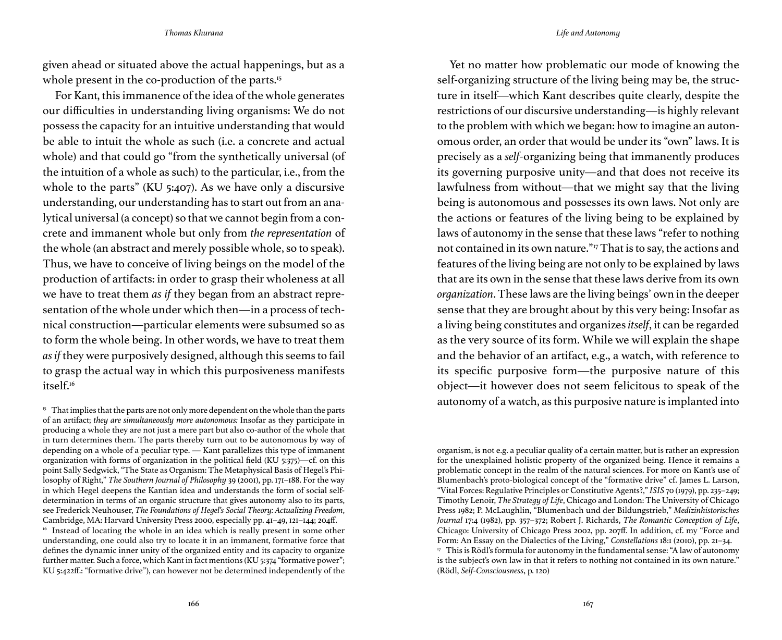given ahead or situated above the actual happenings, but as a whole present in the co-production of the parts.<sup>15</sup>

For Kant, this immanence of the idea of the whole generates our difficulties in understanding living organisms: We do not possess the capacity for an intuitive understanding that would be able to intuit the whole as such (i.e. a concrete and actual whole) and that could go "from the synthetically universal (of the intuition of a whole as such) to the particular, i.e., from the whole to the parts" (KU 5:407). As we have only a discursive understanding, our understanding has to start out from an analytical universal (a concept) so that we cannot begin from a concrete and immanent whole but only from *the representation* of the whole (an abstract and merely possible whole, so to speak). Thus, we have to conceive of living beings on the model of the production of artifacts: in order to grasp their wholeness at all we have to treat them *as if* they began from an abstract representation of the whole under which then—in a process of technical construction—particular elements were subsumed so as to form the whole being. In other words, we have to treat them *as if* they were purposively designed, although this seems to fail to grasp the actual way in which this purposiveness manifests itself.<sup>16</sup>

Yet no matter how problematic our mode of knowing the self-organizing structure of the living being may be, the structure in itself—which Kant describes quite clearly, despite the restrictions of our discursive understanding—is highly relevant to the problem with which we began: how to imagine an autonomous order, an order that would be under its "own" laws. It is precisely as a *self-*organizing being that immanently produces its governing purposive unity—and that does not receive its lawfulness from without—that we might say that the living being is autonomous and possesses its own laws. Not only are the actions or features of the living being to be explained by laws of autonomy in the sense that these laws "refer to nothing not contained in its own nature."17 That is to say, the actions and features of the living being are not only to be explained by laws that are its own in the sense that these laws derive from its own *organization*. These laws are the living beings' own in the deeper sense that they are brought about by this very being: Insofar as a living being constitutes and organizes *itself*, it can be regarded as the very source of its form. While we will explain the shape and the behavior of an artifact, e.g., a watch, with reference to its specific purposive form—the purposive nature of this object—it however does not seem felicitous to speak of the autonomy of a watch, as this purposive nature is implanted into

organism, is not e.g. a peculiar quality of a certain matter, but is rather an expression for the unexplained holistic property of the organized being. Hence it remains a problematic concept in the realm of the natural sciences. For more on Kant's use of Blumenbach's proto-biological concept of the "formative drive" cf. James L. Larson, "Vital Forces: Regulative Principles or Constitutive Agents?," *ISIS* 70 (1979), pp. 235–249; Timothy Lenoir, *The Strategy of Life*, Chicago and London: The University of Chicago Press 1982; P. McLaughlin, "Blumenbach und der Bildungstrieb," *Medizinhistorisches Journal* 17:4 (1982), pp. 357–372; Robert J. Richards, *The Romantic Conception of Life*, Chicago: University of Chicago Press 2002, pp. 207ff. In addition, cf. my "Force and Form: An Essay on the Dialectics of the Living," *Constellations* 18:1 (2010), pp. 21–34. <sup>17</sup> This is Rödl's formula for autonomy in the fundamental sense: "A law of autonomy is the subject's own law in that it refers to nothing not contained in its own nature." (Rödl, *Self-Consciousness*, p. 120)

<sup>&</sup>lt;sup>15</sup> That implies that the parts are not only more dependent on the whole than the parts of an artifact; *they are simultaneously more autonomous:* Insofar as they participate in producing a whole they are not just a mere part but also co-author of the whole that in turn determines them. The parts thereby turn out to be autonomous by way of depending on a whole of a peculiar type. — Kant parallelizes this type of immanent organization with forms of organization in the political field (KU 5:375)—cf. on this point Sally Sedgwick, "The State as Organism: The Metaphysical Basis of Hegel's Philosophy of Right," *The Southern Journal of Philosophy* 39 (2001), pp. 171–188. For the way in which Hegel deepens the Kantian idea and understands the form of social selfdetermination in terms of an organic structure that gives autonomy also to its parts, see Frederick Neuhouser, *The Foundations of Hegel's Social Theory: Actualizing Freedom*, Cambridge, MA: Harvard University Press 2000, especially pp. 41–49, 121–144; 204ff.  $16$  Instead of locating the whole in an idea which is really present in some other understanding, one could also try to locate it in an immanent, formative force that defines the dynamic inner unity of the organized entity and its capacity to organize further matter. Such a force, which Kant in fact mentions (KU 5:374 "formative power"; KU 5:422ff.: "formative drive"), can however not be determined independently of the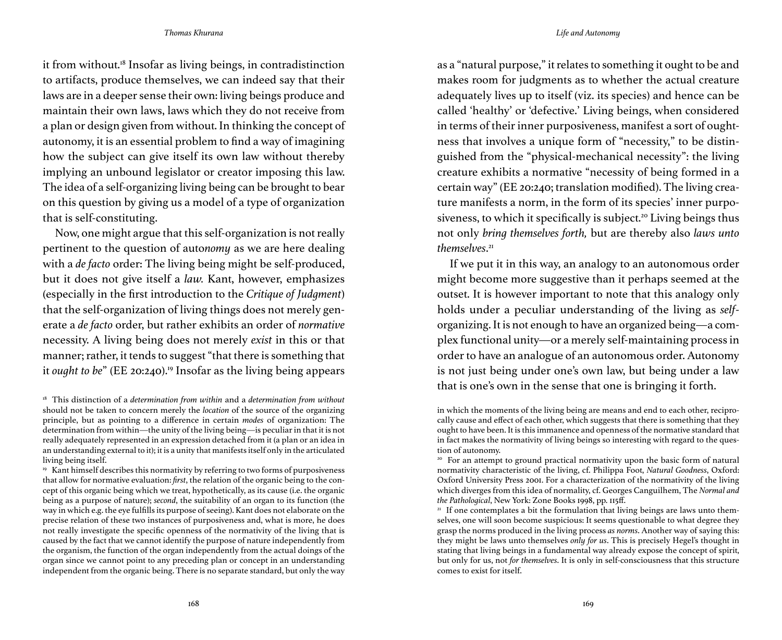it from without.18 Insofar as living beings, in contradistinction to artifacts, produce themselves, we can indeed say that their laws are in a deeper sense their own: living beings produce and maintain their own laws, laws which they do not receive from a plan or design given from without. In thinking the concept of autonomy, it is an essential problem to find a way of imagining how the subject can give itself its own law without thereby implying an unbound legislator or creator imposing this law. The idea of a self-organizing living being can be brought to bear on this question by giving us a model of a type of organization that is self-constituting.

Now, one might argue that this self-organization is not really pertinent to the question of auto*nomy* as we are here dealing with a *de facto* order: The living being might be self-produced, but it does not give itself a *law.* Kant, however, emphasizes (especially in the first introduction to the *Critique of Judgment*) that the self-organization of living things does not merely generate a *de facto* order, but rather exhibits an order of *normative*  necessity. A living being does not merely *exist* in this or that manner; rather, it tends to suggest "that there is something that it *ought to be*" (EE 20:240).<sup>19</sup> Insofar as the living being appears as a "natural purpose," it relates to something it ought to be and makes room for judgments as to whether the actual creature adequately lives up to itself (viz. its species) and hence can be called 'healthy' or 'defective.' Living beings, when considered in terms of their inner purposiveness, manifest a sort of oughtness that involves a unique form of "necessity," to be distinguished from the "physical-mechanical necessity": the living creature exhibits a normative "necessity of being formed in a certain way" (EE 20:240; translation modified). The living creature manifests a norm, in the form of its species' inner purposiveness, to which it specifically is subject.<sup>20</sup> Living beings thus not only *bring themselves forth,* but are thereby also *laws unto themselves*. 21

If we put it in this way, an analogy to an autonomous order might become more suggestive than it perhaps seemed at the outset. It is however important to note that this analogy only holds under a peculiar understanding of the living as *self*organizing. It is not enough to have an organized being—a complex functional unity—or a merely self-maintaining process in order to have an analogue of an autonomous order. Autonomy is not just being under one's own law, but being under a law that is one's own in the sense that one is bringing it forth.

<sup>18</sup> This distinction of a *determination from within* and a *determination from without* should not be taken to concern merely the *location* of the source of the organizing principle, but as pointing to a difference in certain *modes* of organization: The determination from within—the unity of the living being—is peculiar in that it is not really adequately represented in an expression detached from it (a plan or an idea in an understanding external to it); it is a unity that manifests itself only in the articulated living being itself.

<sup>&</sup>lt;sup>19</sup> Kant himself describes this normativity by referring to two forms of purposiveness that allow for normative evaluation: *first*, the relation of the organic being to the concept of this organic being which we treat, hypothetically, as its cause (i.e. the organic being as a purpose of nature); *second*, the suitability of an organ to its function (the way in which e.g. the eye fulfills its purpose of seeing). Kant does not elaborate on the precise relation of these two instances of purposiveness and, what is more, he does not really investigate the specific openness of the normativity of the living that is caused by the fact that we cannot identify the purpose of nature independently from the organism, the function of the organ independently from the actual doings of the organ since we cannot point to any preceding plan or concept in an understanding independent from the organic being. There is no separate standard, but only the way

in which the moments of the living being are means and end to each other, reciprocally cause and effect of each other, which suggests that there is something that they ought to have been. It is this immanence and openness of the normative standard that in fact makes the normativity of living beings so interesting with regard to the question of autonomy.

<sup>&</sup>lt;sup>20</sup> For an attempt to ground practical normativity upon the basic form of natural normativity characteristic of the living, cf. Philippa Foot, *Natural Goodness*, Oxford: Oxford University Press 2001. For a characterization of the normativity of the living which diverges from this idea of normality, cf. Georges Canguilhem, The *Normal and the Pathological*, New York: Zone Books 1998, pp. 115ff.

 $21$  If one contemplates a bit the formulation that living beings are laws unto themselves, one will soon become suspicious: It seems questionable to what degree they grasp the norms produced in the living process *as norms*. Another way of saying this: they might be laws unto themselves *only for us*. This is precisely Hegel's thought in stating that living beings in a fundamental way already expose the concept of spirit, but only for us, not *for themselves*. It is only in self-consciousness that this structure comes to exist for itself.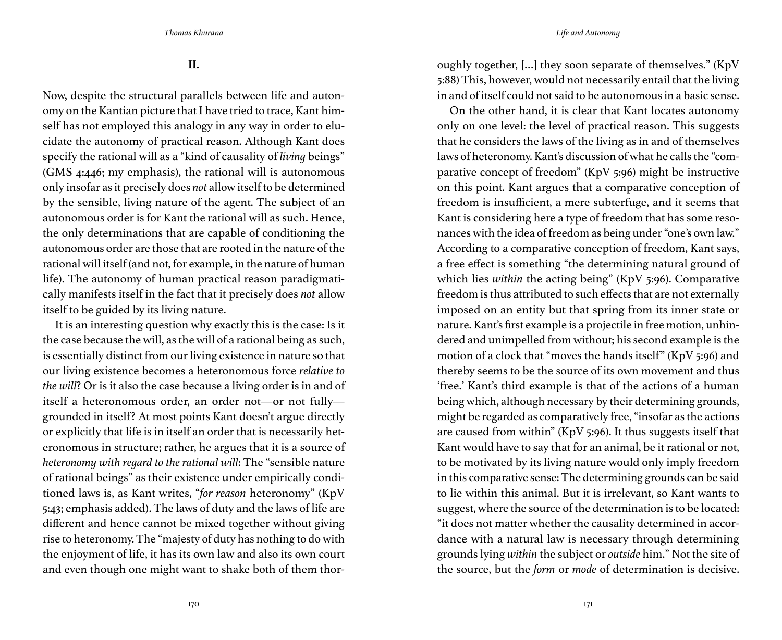**II.**

Now, despite the structural parallels between life and autonomy on the Kantian picture that I have tried to trace, Kant himself has not employed this analogy in any way in order to elucidate the autonomy of practical reason. Although Kant does specify the rational will as a "kind of causality of *living* beings" (GMS 4:446; my emphasis), the rational will is autonomous only insofar as it precisely does *not* allow itself to be determined by the sensible, living nature of the agent. The subject of an autonomous order is for Kant the rational will as such. Hence, the only determinations that are capable of conditioning the autonomous order are those that are rooted in the nature of the rational will itself (and not, for example, in the nature of human life). The autonomy of human practical reason paradigmatically manifests itself in the fact that it precisely does *not* allow itself to be guided by its living nature.

It is an interesting question why exactly this is the case: Is it the case because the will, as the will of a rational being as such, is essentially distinct from our living existence in nature so that our living existence becomes a heteronomous force *relative to the will*? Or is it also the case because a living order is in and of itself a heteronomous order, an order not—or not fully grounded in itself? At most points Kant doesn't argue directly or explicitly that life is in itself an order that is necessarily heteronomous in structure; rather, he argues that it is a source of *heteronomy with regard to the rational will*: The "sensible nature of rational beings" as their existence under empirically conditioned laws is, as Kant writes, "*for reason* heteronomy" (KpV 5:43; emphasis added). The laws of duty and the laws of life are different and hence cannot be mixed together without giving rise to heteronomy. The "majesty of duty has nothing to do with the enjoyment of life, it has its own law and also its own court and even though one might want to shake both of them thoroughly together, […] they soon separate of themselves." (KpV 5:88) This, however, would not necessarily entail that the living in and of itself could not said to be autonomous in a basic sense.

On the other hand, it is clear that Kant locates autonomy only on one level: the level of practical reason. This suggests that he considers the laws of the living as in and of themselves laws of heteronomy. Kant's discussion of what he calls the "comparative concept of freedom" (KpV 5:96) might be instructive on this point. Kant argues that a comparative conception of freedom is insufficient, a mere subterfuge, and it seems that Kant is considering here a type of freedom that has some resonances with the idea of freedom as being under "one's own law." According to a comparative conception of freedom, Kant says, a free effect is something "the determining natural ground of which lies *within* the acting being" (KpV 5:96). Comparative freedom is thus attributed to such effects that are not externally imposed on an entity but that spring from its inner state or nature. Kant's first example is a projectile in free motion, unhindered and unimpelled from without; his second example is the motion of a clock that "moves the hands itself" (KpV 5:96) and thereby seems to be the source of its own movement and thus 'free.' Kant's third example is that of the actions of a human being which, although necessary by their determining grounds, might be regarded as comparatively free, "insofar as the actions are caused from within" (KpV 5:96). It thus suggests itself that Kant would have to say that for an animal, be it rational or not, to be motivated by its living nature would only imply freedom in this comparative sense: The determining grounds can be said to lie within this animal. But it is irrelevant, so Kant wants to suggest, where the source of the determination is to be located: "it does not matter whether the causality determined in accordance with a natural law is necessary through determining grounds lying *within* the subject or *outside* him." Not the site of the source, but the *form* or *mode* of determination is decisive.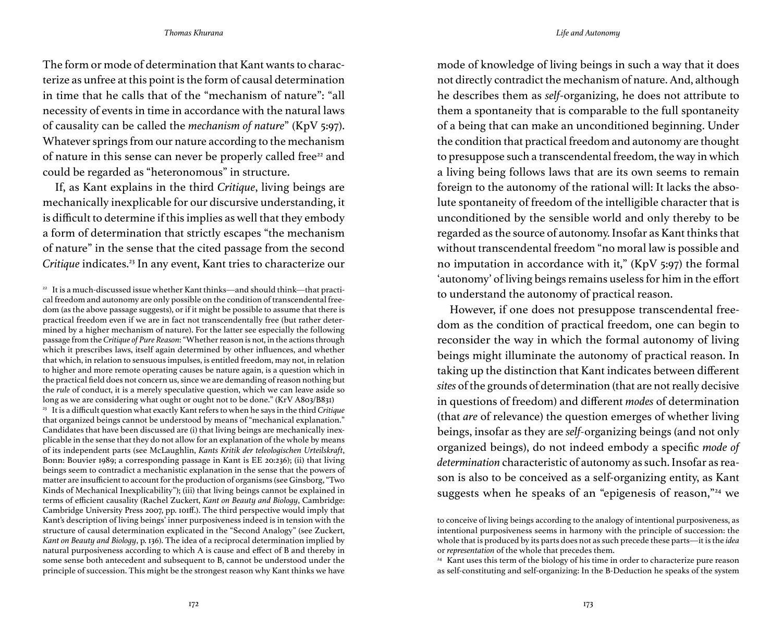The form or mode of determination that Kant wants to characterize as unfree at this point is the form of causal determination in time that he calls that of the "mechanism of nature": "all necessity of events in time in accordance with the natural laws of causality can be called the *mechanism of nature*" (KpV 5:97). Whatever springs from our nature according to the mechanism of nature in this sense can never be properly called free<sup>22</sup> and could be regarded as "heteronomous" in structure.

If, as Kant explains in the third *Critique*, living beings are mechanically inexplicable for our discursive understanding, it is difficult to determine if this implies as well that they embody a form of determination that strictly escapes "the mechanism of nature" in the sense that the cited passage from the second *Critique* indicates.23 In any event, Kant tries to characterize our

<sup>23</sup> It is a difficult question what exactly Kant refers to when he says in the third *Critique* that organized beings cannot be understood by means of "mechanical explanation." Candidates that have been discussed are (i) that living beings are mechanically inexplicable in the sense that they do not allow for an explanation of the whole by means of its independent parts (see McLaughlin, *Kants Kritik der teleologischen Urteilskraft*, Bonn: Bouvier 1989; a corresponding passage in Kant is EE 20:236); (ii) that living beings seem to contradict a mechanistic explanation in the sense that the powers of matter are insufficient to account for the production of organisms (see Ginsborg, "Two Kinds of Mechanical Inexplicability"); (iii) that living beings cannot be explained in terms of efficient causality (Rachel Zuckert, *Kant on Beauty and Biology*, Cambridge: Cambridge University Press 2007, pp. 101ff.). The third perspective would imply that Kant's description of living beings' inner purposiveness indeed is in tension with the structure of causal determination explicated in the "Second Analogy" (see Zuckert, *Kant on Beauty and Biology*, p. 136). The idea of a reciprocal determination implied by natural purposiveness according to which A is cause and effect of B and thereby in some sense both antecedent and subsequent to B, cannot be understood under the principle of succession. This might be the strongest reason why Kant thinks we have mode of knowledge of living beings in such a way that it does not directly contradict the mechanism of nature. And, although he describes them as *self*-organizing, he does not attribute to them a spontaneity that is comparable to the full spontaneity of a being that can make an unconditioned beginning. Under the condition that practical freedom and autonomy are thought to presuppose such a transcendental freedom, the way in which a living being follows laws that are its own seems to remain foreign to the autonomy of the rational will: It lacks the absolute spontaneity of freedom of the intelligible character that is unconditioned by the sensible world and only thereby to be regarded as the source of autonomy. Insofar as Kant thinks that without transcendental freedom "no moral law is possible and no imputation in accordance with it," (KpV 5:97) the formal 'autonomy' of living beings remains useless for him in the effort to understand the autonomy of practical reason.

However, if one does not presuppose transcendental freedom as the condition of practical freedom, one can begin to reconsider the way in which the formal autonomy of living beings might illuminate the autonomy of practical reason. In taking up the distinction that Kant indicates between different *sites* of the grounds of determination (that are not really decisive in questions of freedom) and different *modes* of determination (that *are* of relevance) the question emerges of whether living beings, insofar as they are *self-*organizing beings (and not only organized beings), do not indeed embody a specific *mode of determination* characteristic of autonomy as such. Insofar as reason is also to be conceived as a self-organizing entity, as Kant suggests when he speaks of an "epigenesis of reason,"24 we

<sup>&</sup>lt;sup>22</sup> It is a much-discussed issue whether Kant thinks—and should think—that practical freedom and autonomy are only possible on the condition of transcendental freedom (as the above passage suggests), or if it might be possible to assume that there is practical freedom even if we are in fact not transcendentally free (but rather determined by a higher mechanism of nature). For the latter see especially the following passage from the *Critique of Pure Reason*: "Whether reason is not, in the actions through which it prescribes laws, itself again determined by other influences, and whether that which, in relation to sensuous impulses, is entitled freedom, may not, in relation to higher and more remote operating causes be nature again, is a question which in the practical field does not concern us, since we are demanding of reason nothing but the *rule* of conduct, it is a merely speculative question, which we can leave aside so long as we are considering what ought or ought not to be done." (KrV A803/B831)

to conceive of living beings according to the analogy of intentional purposiveness, as intentional purposiveness seems in harmony with the principle of succession: the whole that is produced by its parts does not as such precede these parts—it is the *idea* or *representation* of the whole that precedes them.

<sup>&</sup>lt;sup>24</sup> Kant uses this term of the biology of his time in order to characterize pure reason as self-constituting and self-organizing: In the B-Deduction he speaks of the system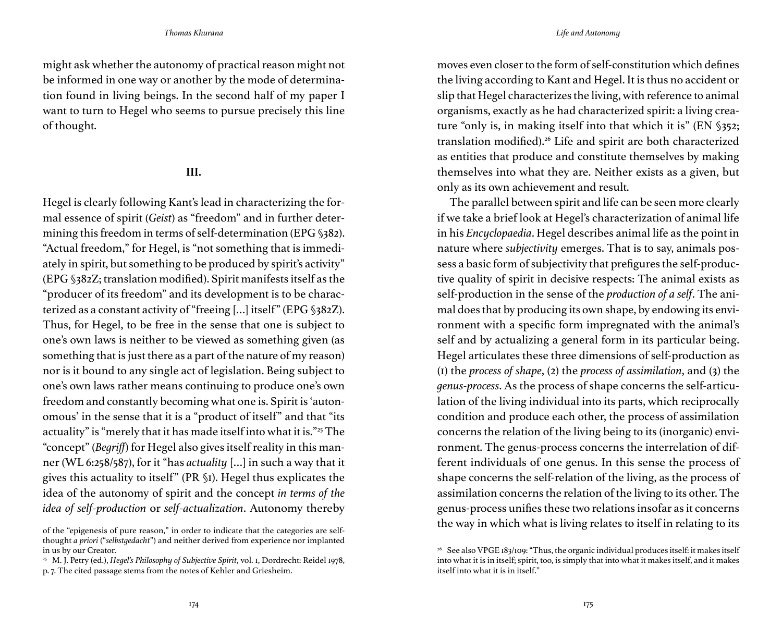might ask whether the autonomy of practical reason might not be informed in one way or another by the mode of determination found in living beings. In the second half of my paper I want to turn to Hegel who seems to pursue precisely this line of thought.

## **III.**

Hegel is clearly following Kant's lead in characterizing the formal essence of spirit (*Geist*) as "freedom" and in further determining this freedom in terms of self-determination (EPG §382). "Actual freedom," for Hegel, is "not something that is immediately in spirit, but something to be produced by spirit's activity" (EPG §382Z; translation modified). Spirit manifests itself as the "producer of its freedom" and its development is to be characterized as a constant activity of "freeing […] itself" (EPG §382Z). Thus, for Hegel, to be free in the sense that one is subject to one's own laws is neither to be viewed as something given (as something that is just there as a part of the nature of my reason) nor is it bound to any single act of legislation. Being subject to one's own laws rather means continuing to produce one's own freedom and constantly becoming what one is. Spirit is 'autonomous' in the sense that it is a "product of itself" and that "its actuality" is "merely that it has made itself into what it is."25 The "concept" (*Begriff*) for Hegel also gives itself reality in this manner (WL 6:258/587), for it "has *actuality* […] in such a way that it gives this actuality to itself" (PR §1). Hegel thus explicates the idea of the autonomy of spirit and the concept *in terms of the idea of self-production* or *self-actualization*. Autonomy thereby

moves even closer to the form of self-constitution which defines the living according to Kant and Hegel. It is thus no accident or slip that Hegel characterizes the living, with reference to animal organisms, exactly as he had characterized spirit: a living creature "only is, in making itself into that which it is" (EN §352; translation modified).<sup>26</sup> Life and spirit are both characterized as entities that produce and constitute themselves by making themselves into what they are. Neither exists as a given, but only as its own achievement and result.

The parallel between spirit and life can be seen more clearly if we take a brief look at Hegel's characterization of animal life in his *Encyclopaedia*. Hegel describes animal life as the point in nature where *subjectivity* emerges. That is to say, animals possess a basic form of subjectivity that prefigures the self-productive quality of spirit in decisive respects: The animal exists as self-production in the sense of the *production of a self*. The animal does that by producing its own shape, by endowing its environment with a specific form impregnated with the animal's self and by actualizing a general form in its particular being. Hegel articulates these three dimensions of self-production as (1) the *process of shape*, (2) the *process of assimilation*, and (3) the *genus-process*. As the process of shape concerns the self-articulation of the living individual into its parts, which reciprocally condition and produce each other, the process of assimilation concerns the relation of the living being to its (inorganic) environment. The genus-process concerns the interrelation of different individuals of one genus. In this sense the process of shape concerns the self-relation of the living, as the process of assimilation concerns the relation of the living to its other. The genus-process unifies these two relations insofar as it concerns the way in which what is living relates to itself in relating to its

of the "epigenesis of pure reason," in order to indicate that the categories are selfthought *a priori* ("*selbstgedacht*") and neither derived from experience nor implanted in us by our Creator.

<sup>&</sup>lt;sup>25</sup> M. J. Petry (ed.), *Hegel's Philosophy of Subjective Spirit*, vol. 1, Dordrecht: Reidel 1978,

p. 7. The cited passage stems from the notes of Kehler and Griesheim.

<sup>&</sup>lt;sup>26</sup> See also VPGE 183/109: "Thus, the organic individual produces itself: it makes itself into what it is in itself; spirit, too, is simply that into what it makes itself, and it makes itself into what it is in itself."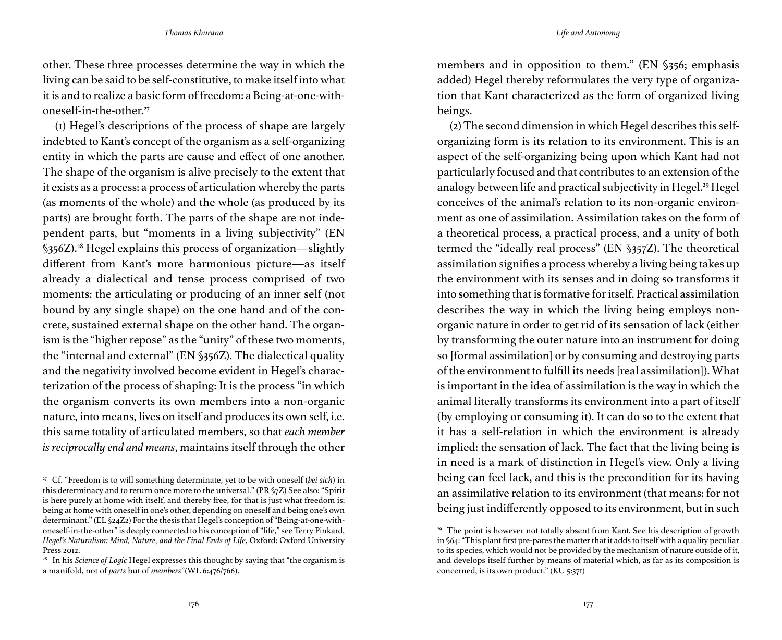other. These three processes determine the way in which the living can be said to be self-constitutive, to make itself into what it is and to realize a basic form of freedom: a Being-at-one-withoneself-in-the-other.27

(1) Hegel's descriptions of the process of shape are largely indebted to Kant's concept of the organism as a self-organizing entity in which the parts are cause and effect of one another. The shape of the organism is alive precisely to the extent that it exists as a process: a process of articulation whereby the parts (as moments of the whole) and the whole (as produced by its parts) are brought forth. The parts of the shape are not independent parts, but "moments in a living subjectivity" (EN §356Z).<sup>28</sup> Hegel explains this process of organization—slightly different from Kant's more harmonious picture—as itself already a dialectical and tense process comprised of two moments: the articulating or producing of an inner self (not bound by any single shape) on the one hand and of the concrete, sustained external shape on the other hand. The organism is the "higher repose" as the "unity" of these two moments, the "internal and external" (EN §356Z). The dialectical quality and the negativity involved become evident in Hegel's characterization of the process of shaping: It is the process "in which the organism converts its own members into a non-organic nature, into means, lives on itself and produces its own self, i.e. this same totality of articulated members, so that *each member is reciprocally end and means*, maintains itself through the other

members and in opposition to them." (EN §356; emphasis added) Hegel thereby reformulates the very type of organization that Kant characterized as the form of organized living beings.

(2) The second dimension in which Hegel describes this selforganizing form is its relation to its environment. This is an aspect of the self-organizing being upon which Kant had not particularly focused and that contributes to an extension of the analogy between life and practical subjectivity in Hegel.<sup>29</sup> Hegel conceives of the animal's relation to its non-organic environment as one of assimilation. Assimilation takes on the form of a theoretical process, a practical process, and a unity of both termed the "ideally real process" (EN §357Z). The theoretical assimilation signifies a process whereby a living being takes up the environment with its senses and in doing so transforms it into something that is formative for itself. Practical assimilation describes the way in which the living being employs nonorganic nature in order to get rid of its sensation of lack (either by transforming the outer nature into an instrument for doing so [formal assimilation] or by consuming and destroying parts of the environment to fulfill its needs [real assimilation]). What is important in the idea of assimilation is the way in which the animal literally transforms its environment into a part of itself (by employing or consuming it). It can do so to the extent that it has a self-relation in which the environment is already implied: the sensation of lack. The fact that the living being is in need is a mark of distinction in Hegel's view. Only a living being can feel lack, and this is the precondition for its having an assimilative relation to its environment (that means: for not being just indifferently opposed to its environment, but in such

<sup>27</sup> Cf. "Freedom is to will something determinate, yet to be with oneself (*bei sich*) in this determinacy and to return once more to the universal." (PR §7Z) See also: "Spirit is here purely at home with itself, and thereby free, for that is just what freedom is: being at home with oneself in one's other, depending on oneself and being one's own determinant." (EL §24Z2) For the thesis that Hegel's conception of "Being-at-one-withoneself-in-the-other" is deeply connected to his conception of "life," see Terry Pinkard, *Hegel's Naturalism: Mind, Nature, and the Final Ends of Life*, Oxford: Oxford University Press 2012.

<sup>&</sup>lt;sup>28</sup> In his *Science of Logic* Hegel expresses this thought by saying that "the organism is a manifold, not of *parts* but of *members*"(WL 6:476/766).

<sup>&</sup>lt;sup>29</sup> The point is however not totally absent from Kant. See his description of growth in §64: "This plant first pre-pares the matter that it adds to itself with a quality peculiar to its species, which would not be provided by the mechanism of nature outside of it, and develops itself further by means of material which, as far as its composition is concerned, is its own product." (KU 5:371)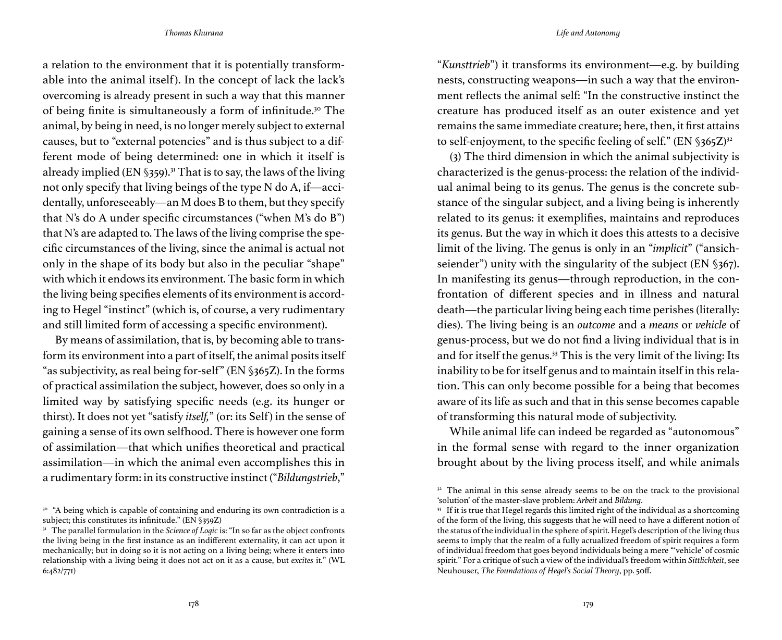a relation to the environment that it is potentially transformable into the animal itself). In the concept of lack the lack's overcoming is already present in such a way that this manner of being finite is simultaneously a form of infinitude.<sup>30</sup> The animal, by being in need, is no longer merely subject to external causes, but to "external potencies" and is thus subject to a different mode of being determined: one in which it itself is already implied (EN  $\S$ 359).<sup>31</sup> That is to say, the laws of the living not only specify that living beings of the type N do A, if—accidentally, unforeseeably—an M does B to them, but they specify that N's do A under specific circumstances ("when M's do B") that N's are adapted to. The laws of the living comprise the specific circumstances of the living, since the animal is actual not only in the shape of its body but also in the peculiar "shape" with which it endows its environment. The basic form in which the living being specifies elements of its environment is according to Hegel "instinct" (which is, of course, a very rudimentary and still limited form of accessing a specific environment).

By means of assimilation, that is, by becoming able to transform its environment into a part of itself, the animal posits itself "as subjectivity, as real being for-self" (EN §365Z). In the forms of practical assimilation the subject, however, does so only in a limited way by satisfying specific needs (e.g. its hunger or thirst). It does not yet "satisfy *itself*," (or: its Self) in the sense of gaining a sense of its own selfhood. There is however one form of assimilation—that which unifies theoretical and practical assimilation—in which the animal even accomplishes this in a rudimentary form: in its constructive instinct ("*Bildungstrieb*,"

"*Kunsttrieb*") it transforms its environment—e.g. by building nests, constructing weapons—in such a way that the environment reflects the animal self: "In the constructive instinct the creature has produced itself as an outer existence and yet remains the same immediate creature; here, then, it first attains to self-enjoyment, to the specific feeling of self." (EN  $\S$ 365 $Z$ )<sup>32</sup>

(3) The third dimension in which the animal subjectivity is characterized is the genus-process: the relation of the individual animal being to its genus. The genus is the concrete substance of the singular subject, and a living being is inherently related to its genus: it exemplifies, maintains and reproduces its genus. But the way in which it does this attests to a decisive limit of the living. The genus is only in an "*implicit*" ("ansichseiender") unity with the singularity of the subject (EN §367). In manifesting its genus—through reproduction, in the confrontation of different species and in illness and natural death—the particular living being each time perishes (literally: dies). The living being is an *outcome* and a *means* or *vehicle* of genus-process, but we do not find a living individual that is in and for itself the genus.<sup>33</sup> This is the very limit of the living: Its inability to be for itself genus and to maintain itself in this relation. This can only become possible for a being that becomes aware of its life as such and that in this sense becomes capable of transforming this natural mode of subjectivity.

While animal life can indeed be regarded as "autonomous" in the formal sense with regard to the inner organization brought about by the living process itself, and while animals

<sup>&</sup>lt;sup>30</sup> "A being which is capable of containing and enduring its own contradiction is a subject; this constitutes its infinitude." (EN §359Z)

<sup>&</sup>lt;sup>31</sup> The parallel formulation in the *Science of Logic* is: "In so far as the object confronts the living being in the first instance as an indifferent externality, it can act upon it mechanically; but in doing so it is not acting on a living being; where it enters into relationship with a living being it does not act on it as a cause, but *excites* it." (WL 6:482/771)

 $32$  The animal in this sense already seems to be on the track to the provisional 'solution' of the master-slave problem: *Arbeit* and *Bildung*.

<sup>33</sup> If it is true that Hegel regards this limited right of the individual as a shortcoming of the form of the living, this suggests that he will need to have a different notion of the status of the individual in the sphere of spirit. Hegel's description of the living thus seems to imply that the realm of a fully actualized freedom of spirit requires a form of individual freedom that goes beyond individuals being a mere "'vehicle' of cosmic spirit." For a critique of such a view of the individual's freedom within *Sittlichkeit*, see Neuhouser, *The Foundations of Hegel's Social Theory*, pp. 50ff.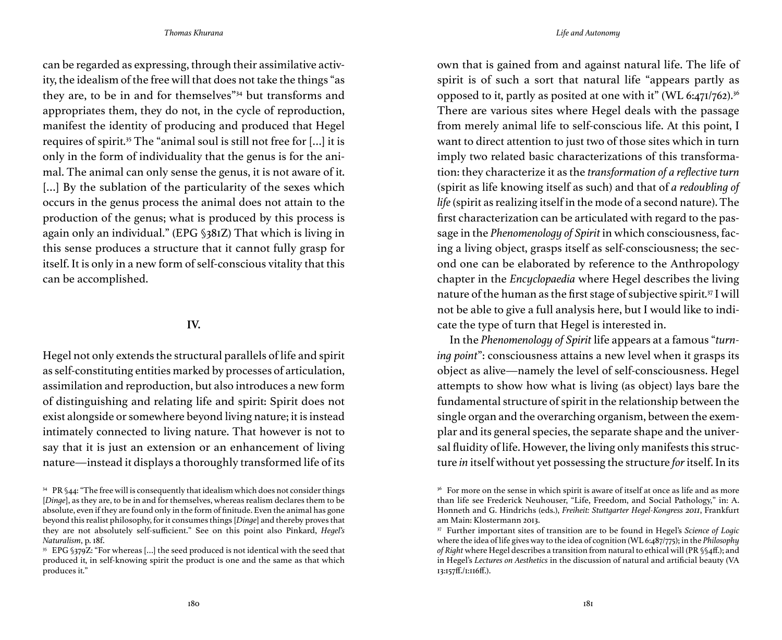can be regarded as expressing, through their assimilative activity, the idealism of the free will that does not take the things "as they are, to be in and for themselves"34 but transforms and appropriates them, they do not, in the cycle of reproduction, manifest the identity of producing and produced that Hegel requires of spirit.<sup>35</sup> The "animal soul is still not free for [...] it is only in the form of individuality that the genus is for the animal. The animal can only sense the genus, it is not aware of it. [...] By the sublation of the particularity of the sexes which occurs in the genus process the animal does not attain to the production of the genus; what is produced by this process is again only an individual." (EPG §381Z) That which is living in this sense produces a structure that it cannot fully grasp for itself. It is only in a new form of self-conscious vitality that this can be accomplished.

## **IV.**

Hegel not only extends the structural parallels of life and spirit as self-constituting entities marked by processes of articulation, assimilation and reproduction, but also introduces a new form of distinguishing and relating life and spirit: Spirit does not exist alongside or somewhere beyond living nature; it is instead intimately connected to living nature. That however is not to say that it is just an extension or an enhancement of living nature—instead it displays a thoroughly transformed life of its

own that is gained from and against natural life. The life of spirit is of such a sort that natural life "appears partly as opposed to it, partly as posited at one with it" (WL 6:471/762).<sup>36</sup> There are various sites where Hegel deals with the passage from merely animal life to self-conscious life. At this point, I want to direct attention to just two of those sites which in turn imply two related basic characterizations of this transformation: they characterize it as the *transformation of a reflective turn* (spirit as life knowing itself as such) and that of *a redoubling of life* (spirit as realizing itself in the mode of a second nature). The first characterization can be articulated with regard to the passage in the *Phenomenology of Spirit* in which consciousness, facing a living object, grasps itself as self-consciousness; the second one can be elaborated by reference to the Anthropology chapter in the *Encyclopaedia* where Hegel describes the living nature of the human as the first stage of subjective spirit.37 I will not be able to give a full analysis here, but I would like to indicate the type of turn that Hegel is interested in.

In the *Phenomenology of Spirit* life appears at a famous "*turning point*": consciousness attains a new level when it grasps its object as alive—namely the level of self-consciousness. Hegel attempts to show how what is living (as object) lays bare the fundamental structure of spirit in the relationship between the single organ and the overarching organism, between the exemplar and its general species, the separate shape and the universal fluidity of life. However, the living only manifests this structure *in* itself without yet possessing the structure *for* itself. In its

 $34$  PR §44: "The free will is consequently that idealism which does not consider things [*Dinge*], as they are, to be in and for themselves, whereas realism declares them to be absolute, even if they are found only in the form of finitude. Even the animal has gone beyond this realist philosophy, for it consumes things [*Dinge*] and thereby proves that they are not absolutely self-sufficient." See on this point also Pinkard, *Hegel's Naturalism*, p. 18f.

<sup>&</sup>lt;sup>35</sup> EPG §379Z: "For whereas [...] the seed produced is not identical with the seed that produced it, in self-knowing spirit the product is one and the same as that which produces it."

<sup>&</sup>lt;sup>36</sup> For more on the sense in which spirit is aware of itself at once as life and as more than life see Frederick Neuhouser, "Life, Freedom, and Social Pathology," in: A. Honneth and G. Hindrichs (eds.), *Freiheit: Stuttgarter Hegel-Kongress 2011*, Frankfurt am Main: Klostermann 2013.

<sup>37</sup> Further important sites of transition are to be found in Hegel's *Science of Logic* where the idea of life gives way to the idea of cognition (WL 6:487/775); in the *Philosophy of Right* where Hegel describes a transition from natural to ethical will (PR §§4ff.); and in Hegel's *Lectures on Aesthetics* in the discussion of natural and artificial beauty (VA 13:157ff./1:116ff.).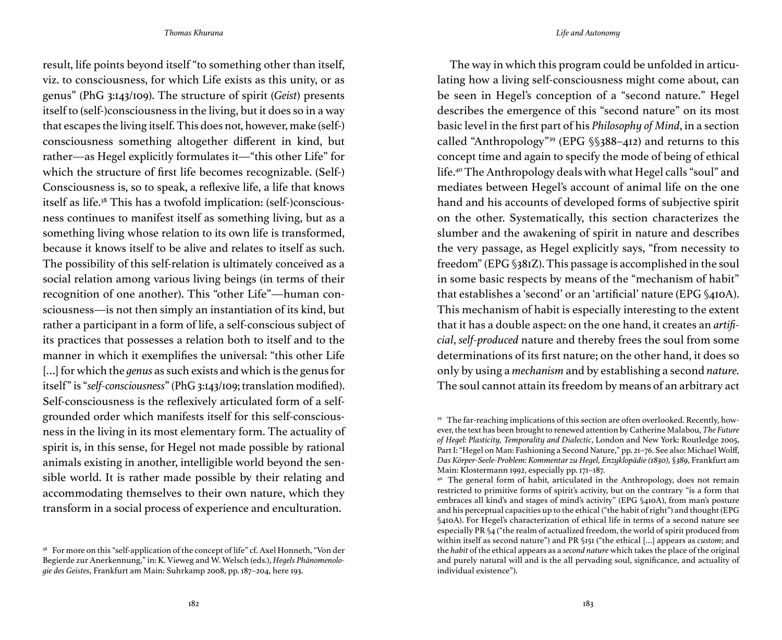result, life points beyond itself "to something other than itself, viz. to consciousness, for which Life exists as this unity, or as genus" (PhG 3:143/109). The structure of spirit (*Geist*) presents itself to (self-)consciousness in the living, but it does so in a way that escapes the living itself. This does not, however, make (self-) consciousness something altogether different in kind, but rather—as Hegel explicitly formulates it—"this other Life" for which the structure of first life becomes recognizable. (Self-) Consciousness is, so to speak, a reflexive life, a life that knows itself as life.<sup>38</sup> This has a twofold implication: (self-)consciousness continues to manifest itself as something living, but as a something living whose relation to its own life is transformed, because it knows itself to be alive and relates to itself as such. The possibility of this self-relation is ultimately conceived as a social relation among various living beings (in terms of their recognition of one another). This "other Life"—human consciousness—is not then simply an instantiation of its kind, but rather a participant in a form of life, a self-conscious subject of its practices that possesses a relation both to itself and to the manner in which it exemplifies the universal: "this other Life […] for which the *genus* as such exists and which is the genus for itself" is "*self-consciousness*" (PhG 3:143/109; translation modified). Self-consciousness is the reflexively articulated form of a selfgrounded order which manifests itself for this self-consciousness in the living in its most elementary form. The actuality of spirit is, in this sense, for Hegel not made possible by rational animals existing in another, intelligible world beyond the sensible world. It is rather made possible by their relating and accommodating themselves to their own nature, which they transform in a social process of experience and enculturation.

*Thomas Khurana Life and Autonomy*

The way in which this program could be unfolded in articulating how a living self-consciousness might come about, can be seen in Hegel's conception of a "second nature." Hegel describes the emergence of this "second nature" on its most basic level in the first part of his *Philosophy of Mind*, in a section called "Anthropology"39 (EPG §§388–412) and returns to this concept time and again to specify the mode of being of ethical life.40 The Anthropology deals with what Hegel calls "soul" and mediates between Hegel's account of animal life on the one hand and his accounts of developed forms of subjective spirit on the other. Systematically, this section characterizes the slumber and the awakening of spirit in nature and describes the very passage, as Hegel explicitly says, "from necessity to freedom" (EPG §381Z). This passage is accomplished in the soul in some basic respects by means of the "mechanism of habit" that establishes a 'second' or an 'artificial' nature (EPG §410A). This mechanism of habit is especially interesting to the extent that it has a double aspect: on the one hand, it creates an *artificial*, *self-produced* nature and thereby frees the soul from some determinations of its first nature; on the other hand, it does so only by using a *mechanism* and by establishing a second *nature.*  The soul cannot attain its freedom by means of an arbitrary act

<sup>&</sup>lt;sup>38</sup> For more on this "self-application of the concept of life" cf. Axel Honneth, "Von der Begierde zur Anerkennung," in: K. Vieweg and W. Welsch (eds.), *Hegels Phänomenologie des Geistes*, Frankfurt am Main: Suhrkamp 2008, pp. 187–204, here 193.

<sup>39</sup> The far-reaching implications of this section are often overlooked. Recently, however, the text has been brought to renewed attention by Catherine Malabou, *The Future of Hegel: Plasticity, Temporality and Dialectic*, London and New York: Routledge 2005, Part I: "Hegel on Man: Fashioning a Second Nature," pp. 21-76. See also: Michael Wolff, *Das Körper-Seele-Problem: Kommentar zu Hegel, Enzyklopädie (1830), §389*, Frankfurt am Main: Klostermann 1992, especially pp. 171–187.

<sup>40</sup> The general form of habit, articulated in the Anthropology, does not remain restricted to primitive forms of spirit's activity, but on the contrary "is a form that embraces all kind's and stages of mind's activity" (EPG §410A), from man's posture and his perceptual capacities up to the ethical ("the habit of right") and thought (EPG §410A). For Hegel's characterization of ethical life in terms of a second nature see especially PR §4 ("the realm of actualized freedom, the world of spirit produced from within itself as second nature") and PR §151 ("the ethical […] appears as *custom*; and the *habit* of the ethical appears as a *second nature* which takes the place of the original and purely natural will and is the all pervading soul, significance, and actuality of individual existence").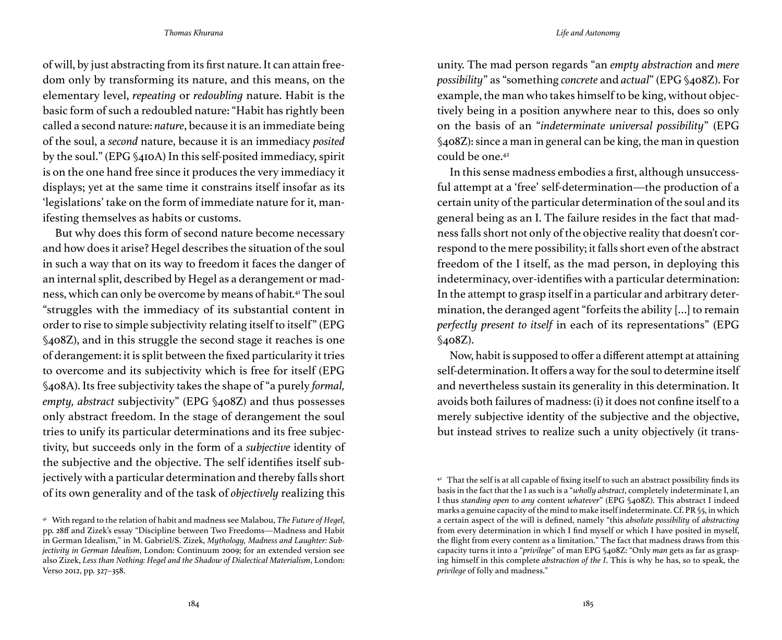of will, by just abstracting from its first nature. It can attain freedom only by transforming its nature, and this means, on the elementary level, *repeating* or *redoubling* nature. Habit is the basic form of such a redoubled nature: "Habit has rightly been called a second nature: *nature*, because it is an immediate being of the soul, a *second* nature, because it is an immediacy *posited* by the soul." (EPG §410A) In this self-posited immediacy, spirit is on the one hand free since it produces the very immediacy it displays; yet at the same time it constrains itself insofar as its 'legislations' take on the form of immediate nature for it, manifesting themselves as habits or customs.

But why does this form of second nature become necessary and how does it arise? Hegel describes the situation of the soul in such a way that on its way to freedom it faces the danger of an internal split, described by Hegel as a derangement or madness, which can only be overcome by means of habit.41 The soul "struggles with the immediacy of its substantial content in order to rise to simple subjectivity relating itself to itself" (EPG §408Z), and in this struggle the second stage it reaches is one of derangement: it is split between the fixed particularity it tries to overcome and its subjectivity which is free for itself (EPG §408A). Its free subjectivity takes the shape of "a purely *formal, empty, abstract* subjectivity" (EPG §408Z) and thus possesses only abstract freedom. In the stage of derangement the soul tries to unify its particular determinations and its free subjectivity, but succeeds only in the form of a *subjective* identity of the subjective and the objective. The self identifies itself subjectively with a particular determination and thereby falls short of its own generality and of the task of *objectively* realizing this

unity. The mad person regards "an *empty abstraction* and *mere possibility*" as "something *concrete* and *actual*" (EPG §408Z). For example, the man who takes himself to be king, without objectively being in a position anywhere near to this, does so only on the basis of an "*indeterminate universal possibility*" (EPG §408Z): since a man in general can be king, the man in question could be one.42

In this sense madness embodies a first, although unsuccessful attempt at a 'free' self-determination—the production of a certain unity of the particular determination of the soul and its general being as an I. The failure resides in the fact that madness falls short not only of the objective reality that doesn't correspond to the mere possibility; it falls short even of the abstract freedom of the I itself, as the mad person, in deploying this indeterminacy, over-identifies with a particular determination: In the attempt to grasp itself in a particular and arbitrary determination, the deranged agent "forfeits the ability […] to remain *perfectly present to itself* in each of its representations" (EPG §408Z).

Now, habit is supposed to offer a different attempt at attaining self-determination. It offers a way for the soul to determine itself and nevertheless sustain its generality in this determination. It avoids both failures of madness: (i) it does not confine itself to a merely subjective identity of the subjective and the objective, but instead strives to realize such a unity objectively (it trans-

<sup>41</sup> With regard to the relation of habit and madness see Malabou, *The Future of Hegel*, pp. 28ff and Zizek's essay "Discipline between Two Freedoms—Madness and Habit in German Idealism," in M. Gabriel/S. Zizek, *Mythology, Madness and Laughter: Subjectivity in German Idealism*, London: Continuum 2009; for an extended version see also Zizek, *Less than Nothing: Hegel and the Shadow of Dialectical Materialism*, London: Verso 2012, pp. 327–358.

 $42$  That the self is at all capable of fixing itself to such an abstract possibility finds its basis in the fact that the I as such is a "*wholly abstract*, completely indeterminate I, an I thus *standing open* to *any* content *whatever*" (EPG §408Z). This abstract I indeed marks a genuine capacity of the mind to make itself indeterminate. Cf. PR §5, in which a certain aspect of the will is defined, namely "this *absolute possibility* of *abstracting* from every determination in which I find myself or which I have posited in myself, the flight from every content as a limitation." The fact that madness draws from this capacity turns it into a "*privilege*" of man EPG §408Z: "Only *man* gets as far as grasping himself in this complete *abstraction of the I*. This is why he has, so to speak, the *privilege* of folly and madness."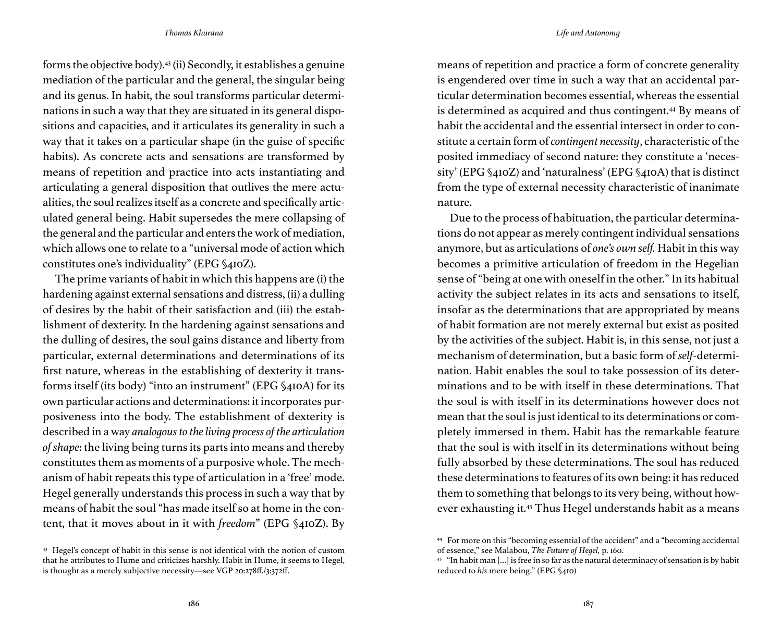forms the objective body).43 (ii) Secondly, it establishes a genuine mediation of the particular and the general, the singular being and its genus. In habit, the soul transforms particular determinations in such a way that they are situated in its general dispositions and capacities, and it articulates its generality in such a way that it takes on a particular shape (in the guise of specific habits). As concrete acts and sensations are transformed by means of repetition and practice into acts instantiating and articulating a general disposition that outlives the mere actualities, the soul realizes itself as a concrete and specifically articulated general being. Habit supersedes the mere collapsing of the general and the particular and enters the work of mediation, which allows one to relate to a "universal mode of action which constitutes one's individuality" (EPG §410Z).

The prime variants of habit in which this happens are (i) the hardening against external sensations and distress, (ii) a dulling of desires by the habit of their satisfaction and (iii) the establishment of dexterity. In the hardening against sensations and the dulling of desires, the soul gains distance and liberty from particular, external determinations and determinations of its first nature, whereas in the establishing of dexterity it transforms itself (its body) "into an instrument" (EPG §410A) for its own particular actions and determinations: it incorporates purposiveness into the body. The establishment of dexterity is described in a way *analogous to the living process of the articulation of shape*: the living being turns its parts into means and thereby constitutes them as moments of a purposive whole. The mechanism of habit repeats this type of articulation in a 'free' mode. Hegel generally understands this process in such a way that by means of habit the soul "has made itself so at home in the content, that it moves about in it with *freedom*" (EPG §410Z). By means of repetition and practice a form of concrete generality is engendered over time in such a way that an accidental particular determination becomes essential, whereas the essential is determined as acquired and thus contingent.<sup>44</sup> By means of habit the accidental and the essential intersect in order to constitute a certain form of *contingent necessity*, characteristic of the posited immediacy of second nature: they constitute a 'necessity' (EPG §410Z) and 'naturalness' (EPG §410A) that is distinct from the type of external necessity characteristic of inanimate nature.

Due to the process of habituation, the particular determinations do not appear as merely contingent individual sensations anymore, but as articulations of *one's own self.* Habit in this way becomes a primitive articulation of freedom in the Hegelian sense of "being at one with oneself in the other." In its habitual activity the subject relates in its acts and sensations to itself, insofar as the determinations that are appropriated by means of habit formation are not merely external but exist as posited by the activities of the subject. Habit is, in this sense, not just a mechanism of determination, but a basic form of *self*-determination. Habit enables the soul to take possession of its determinations and to be with itself in these determinations. That the soul is with itself in its determinations however does not mean that the soul is just identical to its determinations or completely immersed in them. Habit has the remarkable feature that the soul is with itself in its determinations without being fully absorbed by these determinations. The soul has reduced these determinations to features of its own being: it has reduced them to something that belongs to its very being, without however exhausting it.45 Thus Hegel understands habit as a means

<sup>43</sup> Hegel's concept of habit in this sense is not identical with the notion of custom that he attributes to Hume and criticizes harshly. Habit in Hume, it seems to Hegel, is thought as a merely subjective necessity—see VGP 20:278ff./3:372ff.

<sup>44</sup> For more on this "becoming essential of the accident" and a "becoming accidental of essence," see Malabou, *The Future of Hegel,* p. 160.

 $45$  "In habit man [...] is free in so far as the natural determinacy of sensation is by habit reduced to *his* mere being." (EPG §410)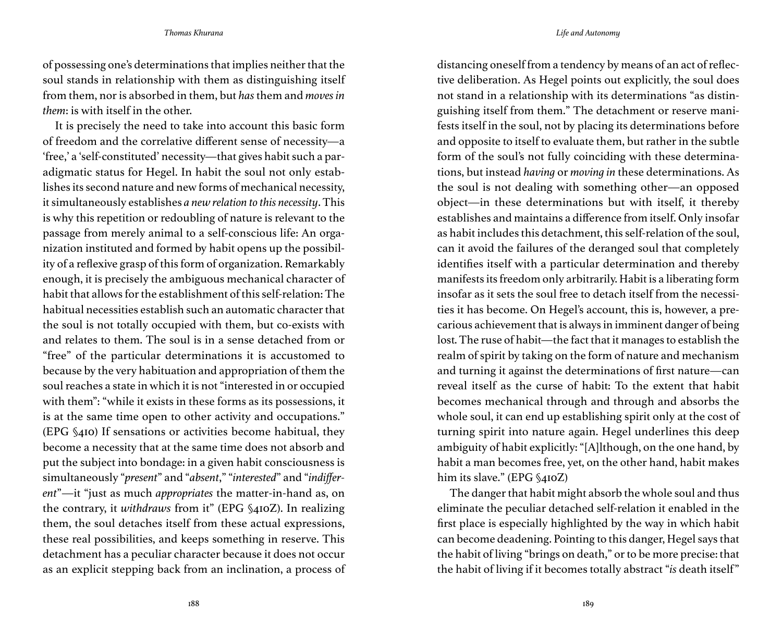of possessing one's determinations that implies neither that the soul stands in relationship with them as distinguishing itself from them, nor is absorbed in them, but *has* them and *moves in them*: is with itself in the other.

It is precisely the need to take into account this basic form of freedom and the correlative different sense of necessity—a 'free,' a 'self-constituted' necessity—that gives habit such a paradigmatic status for Hegel. In habit the soul not only establishes its second nature and new forms of mechanical necessity, it simultaneously establishes *a new relation to this necessity*. This is why this repetition or redoubling of nature is relevant to the passage from merely animal to a self-conscious life: An organization instituted and formed by habit opens up the possibility of a reflexive grasp of this form of organization. Remarkably enough, it is precisely the ambiguous mechanical character of habit that allows for the establishment of this self-relation: The habitual necessities establish such an automatic character that the soul is not totally occupied with them, but co-exists with and relates to them. The soul is in a sense detached from or "free" of the particular determinations it is accustomed to because by the very habituation and appropriation of them the soul reaches a state in which it is not "interested in or occupied with them": "while it exists in these forms as its possessions, it is at the same time open to other activity and occupations." (EPG §410) If sensations or activities become habitual, they become a necessity that at the same time does not absorb and put the subject into bondage: in a given habit consciousness is simultaneously "*present*" and "*absent*," "*interested*" and "*indifferent*"—it "just as much *appropriates* the matter-in-hand as, on the contrary, it *withdraws* from it" (EPG §410Z). In realizing them, the soul detaches itself from these actual expressions, these real possibilities, and keeps something in reserve. This detachment has a peculiar character because it does not occur as an explicit stepping back from an inclination, a process of

distancing oneself from a tendency by means of an act of reflective deliberation. As Hegel points out explicitly, the soul does not stand in a relationship with its determinations "as distinguishing itself from them." The detachment or reserve manifests itself in the soul, not by placing its determinations before and opposite to itself to evaluate them, but rather in the subtle form of the soul's not fully coinciding with these determinations, but instead *having* or *moving in* these determinations. As the soul is not dealing with something other—an opposed object—in these determinations but with itself, it thereby establishes and maintains a difference from itself. Only insofar as habit includes this detachment, this self-relation of the soul, can it avoid the failures of the deranged soul that completely identifies itself with a particular determination and thereby manifests its freedom only arbitrarily. Habit is a liberating form insofar as it sets the soul free to detach itself from the necessities it has become. On Hegel's account, this is, however, a precarious achievement that is always in imminent danger of being lost. The ruse of habit—the fact that it manages to establish the realm of spirit by taking on the form of nature and mechanism and turning it against the determinations of first nature—can reveal itself as the curse of habit: To the extent that habit becomes mechanical through and through and absorbs the whole soul, it can end up establishing spirit only at the cost of turning spirit into nature again. Hegel underlines this deep ambiguity of habit explicitly: "[A]lthough, on the one hand, by habit a man becomes free, yet, on the other hand, habit makes him its slave." (EPG §410Z)

The danger that habit might absorb the whole soul and thus eliminate the peculiar detached self-relation it enabled in the first place is especially highlighted by the way in which habit can become deadening. Pointing to this danger, Hegel says that the habit of living "brings on death," or to be more precise: that the habit of living if it becomes totally abstract "*is* death itself"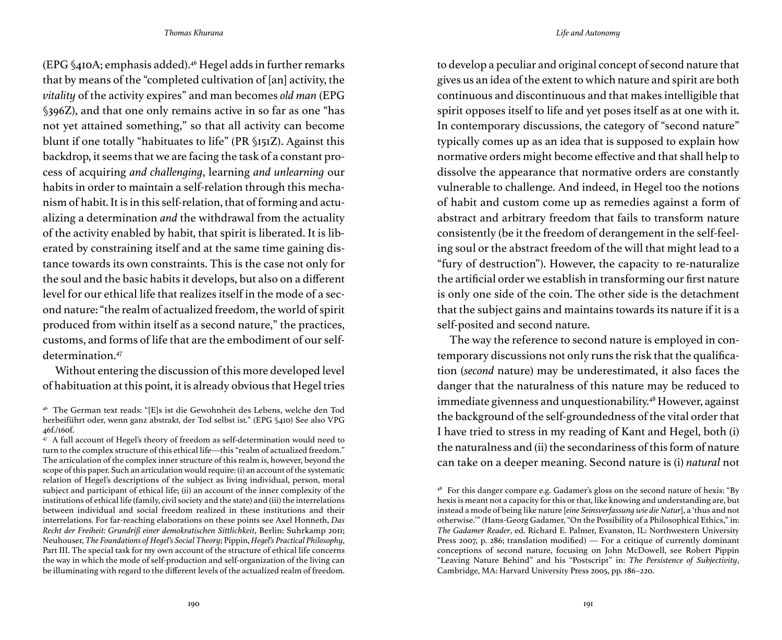(EPG §410A; emphasis added).46 Hegel adds in further remarks that by means of the "completed cultivation of [an] activity, the *vitality* of the activity expires" and man becomes *old man* (EPG §396Z), and that one only remains active in so far as one "has not yet attained something," so that all activity can become blunt if one totally "habituates to life" (PR §151Z). Against this backdrop, it seems that we are facing the task of a constant process of acquiring *and challenging*, learning *and unlearning* our habits in order to maintain a self-relation through this mechanism of habit. It is in this self-relation, that of forming and actualizing a determination *and* the withdrawal from the actuality of the activity enabled by habit, that spirit is liberated. It is liberated by constraining itself and at the same time gaining distance towards its own constraints. This is the case not only for the soul and the basic habits it develops, but also on a different level for our ethical life that realizes itself in the mode of a second nature: "the realm of actualized freedom, the world of spirit produced from within itself as a second nature," the practices, customs, and forms of life that are the embodiment of our selfdetermination<sup>47</sup>

Without entering the discussion of this more developed level of habituation at this point, it is already obvious that Hegel tries to develop a peculiar and original concept of second nature that gives us an idea of the extent to which nature and spirit are both continuous and discontinuous and that makes intelligible that spirit opposes itself to life and yet poses itself as at one with it. In contemporary discussions, the category of "second nature" typically comes up as an idea that is supposed to explain how normative orders might become effective and that shall help to dissolve the appearance that normative orders are constantly vulnerable to challenge. And indeed, in Hegel too the notions of habit and custom come up as remedies against a form of abstract and arbitrary freedom that fails to transform nature consistently (be it the freedom of derangement in the self-feeling soul or the abstract freedom of the will that might lead to a "fury of destruction"). However, the capacity to re-naturalize the artificial order we establish in transforming our first nature is only one side of the coin. The other side is the detachment that the subject gains and maintains towards its nature if it is a self-posited and second nature.

The way the reference to second nature is employed in contemporary discussions not only runs the risk that the qualification (*second* nature) may be underestimated, it also faces the danger that the naturalness of this nature may be reduced to immediate givenness and unquestionability.<sup>48</sup> However, against the background of the self-groundedness of the vital order that I have tried to stress in my reading of Kant and Hegel, both (i) the naturalness and (ii) the secondariness of this form of nature can take on a deeper meaning. Second nature is (i) *natural* not

<sup>46</sup> The German text reads: "[E]s ist die Gewohnheit des Lebens, welche den Tod herbeiführt oder, wenn ganz abstrakt, der Tod selbst ist." (EPG §410) See also VPG 46f./160f.

<sup>&</sup>lt;sup>47</sup> A full account of Hegel's theory of freedom as self-determination would need to turn to the complex structure of this ethical life—this "realm of actualized freedom." The articulation of the complex inner structure of this realm is, however, beyond the scope of this paper. Such an articulation would require: (i) an account of the systematic relation of Hegel's descriptions of the subject as living individual, person, moral subject and participant of ethical life; (ii) an account of the inner complexity of the institutions of ethical life (family, civil society and the state) and (iii) the interrelations between individual and social freedom realized in these institutions and their interrelations. For far-reaching elaborations on these points see Axel Honneth, *Das Recht der Freiheit: Grundriß einer demokratischen Sittlichkeit*, Berlin: Suhrkamp 2011; Neuhouser, *The Foundations of Hegel's Social Theory*; Pippin, *Hegel's Practical Philosophy*, Part III. The special task for my own account of the structure of ethical life concerns the way in which the mode of self-production and self-organization of the living can be illuminating with regard to the different levels of the actualized realm of freedom.

<sup>48</sup> For this danger compare e.g. Gadamer's gloss on the second nature of hexis: "By hexis is meant not a capacity for this or that, like knowing and understanding are, but instead a mode of being like nature [*eine Seinsverfassung wie die Natur*], a 'thus and not otherwise.'" (Hans-Georg Gadamer, "On the Possibility of a Philosophical Ethics," in: *The Gadamer Reader*, ed. Richard E. Palmer, Evanston, IL: Northwestern University Press 2007, p. 286; translation modified) — For a critique of currently dominant conceptions of second nature, focusing on John McDowell, see Robert Pippin "Leaving Nature Behind" and his "Postscript" in: *The Persistence of Subjectivity*, Cambridge, MA: Harvard University Press 2005, pp. 186–220.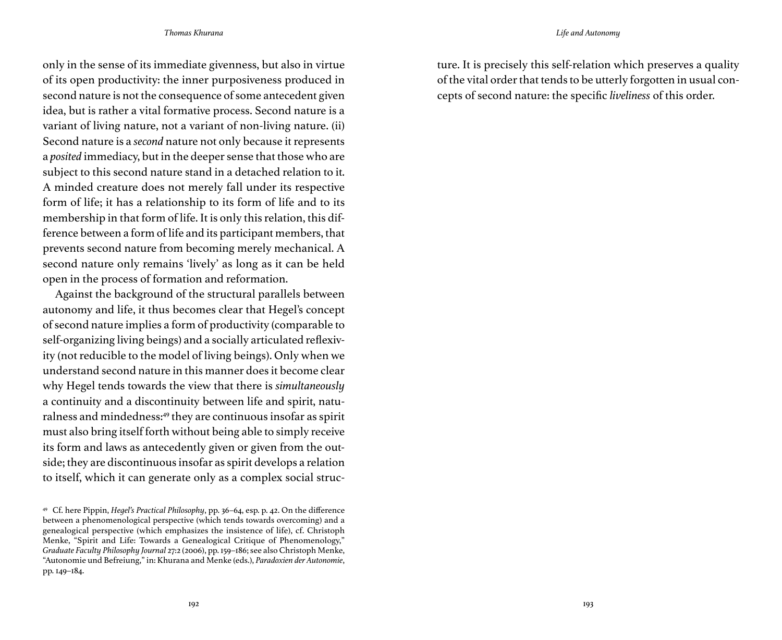only in the sense of its immediate givenness, but also in virtue of its open productivity: the inner purposiveness produced in second nature is not the consequence of some antecedent given idea, but is rather a vital formative process. Second nature is a variant of living nature, not a variant of non-living nature. (ii) Second nature is a *second* nature not only because it represents a *posited* immediacy, but in the deeper sense that those who are subject to this second nature stand in a detached relation to it. A minded creature does not merely fall under its respective form of life; it has a relationship to its form of life and to its membership in that form of life. It is only this relation, this difference between a form of life and its participant members, that prevents second nature from becoming merely mechanical. A second nature only remains 'lively' as long as it can be held open in the process of formation and reformation.

Against the background of the structural parallels between autonomy and life, it thus becomes clear that Hegel's concept of second nature implies a form of productivity (comparable to self-organizing living beings) and a socially articulated reflexivity (not reducible to the model of living beings). Only when we understand second nature in this manner does it become clear why Hegel tends towards the view that there is *simultaneously* a continuity and a discontinuity between life and spirit, naturalness and mindedness:49 they are continuous insofar as spirit must also bring itself forth without being able to simply receive its form and laws as antecedently given or given from the outside; they are discontinuous insofar as spirit develops a relation to itself, which it can generate only as a complex social structure. It is precisely this self-relation which preserves a quality of the vital order that tends to be utterly forgotten in usual concepts of second nature: the specific *liveliness* of this order.

<sup>49</sup> Cf. here Pippin, *Hegel's Practical Philosophy*, pp. 36–64, esp. p. 42. On the difference between a phenomenological perspective (which tends towards overcoming) and a genealogical perspective (which emphasizes the insistence of life), cf. Christoph Menke, "Spirit and Life: Towards a Genealogical Critique of Phenomenology," *Graduate Faculty Philosophy Journal* 27:2 (2006), pp. 159–186; see also Christoph Menke, "Autonomie und Befreiung," in: Khurana and Menke (eds.), *Paradoxien der Autonomie*, pp. 149–184.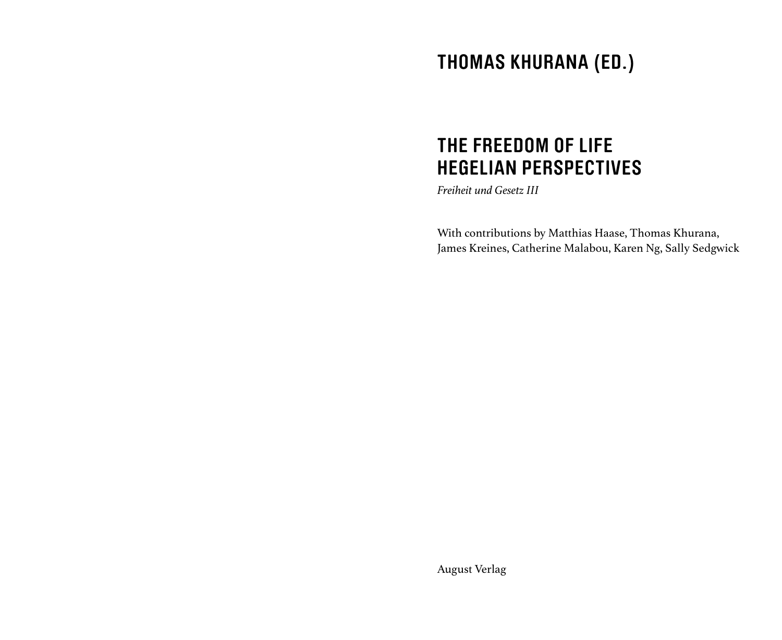# **THOMAS KHURANA (ED.)**

# **THE FREEDOM OF LIFE HEGELIAN PERSPECTIVES**

*Freiheit und Gesetz III*

With contributions by Matthias Haase, Thomas Khurana, James Kreines, Catherine Malabou, Karen Ng, Sally Sedgwick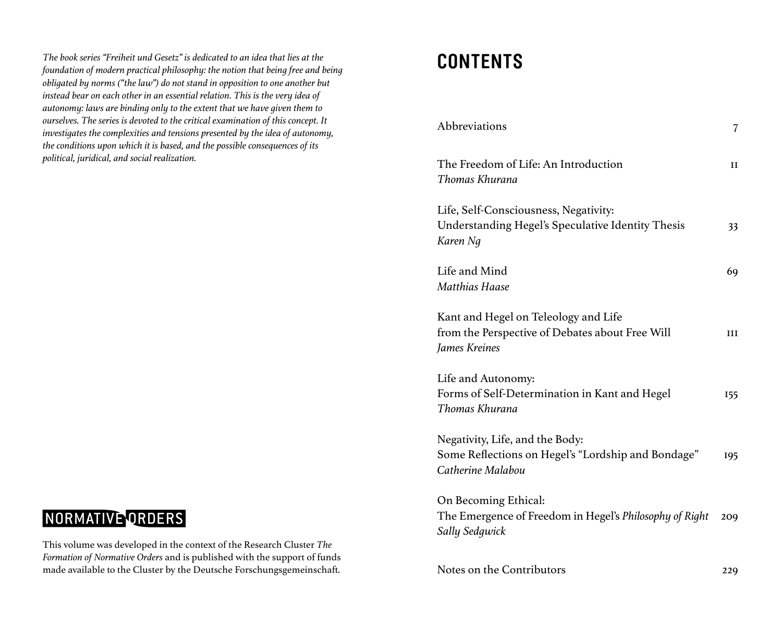**CONTENTS** *The book series "Freiheit und Gesetz" is dedicated to an idea that lies at the foundation of modern practical philosophy: the notion that being free and being obligated by norms ("the law") do not stand in opposition to one another but instead bear on each other in an essential relation. This is the very idea of autonomy: laws are binding only to the extent that we have given them to ourselves. The series is devoted to the critical examination of this concept. It investigates the complexities and tensions presented by the idea of autonomy, the conditions upon which it is based, and the possible consequences of its political, juridical, and social realization.*

## NORMATIVE ORDERS

This volume was developed in the context of the Research Cluster *The Formation of Normative Orders* and is published with the support of funds made available to the Cluster by the Deutsche Forschungsgemeinschaft.

| Abbreviations                                                                                              | 7   |
|------------------------------------------------------------------------------------------------------------|-----|
| The Freedom of Life: An Introduction<br>Thomas Khurana                                                     | и   |
| Life, Self-Consciousness, Negativity:<br>Understanding Hegel's Speculative Identity Thesis<br>Karen Ng     | 33  |
| Life and Mind<br>Matthias Haase                                                                            | 69  |
| Kant and Hegel on Teleology and Life<br>from the Perspective of Debates about Free Will<br>James Kreines   | ш   |
| Life and Autonomy:<br>Forms of Self-Determination in Kant and Hegel<br>Thomas Khurana                      | 155 |
| Negativity, Life, and the Body:<br>Some Reflections on Hegel's "Lordship and Bondage"<br>Catherine Malabou | 195 |
| On Becoming Ethical:<br>The Emergence of Freedom in Hegel's Philosophy of Right<br>Sally Sedgwick          | 209 |
| Notes on the Contributors                                                                                  | 229 |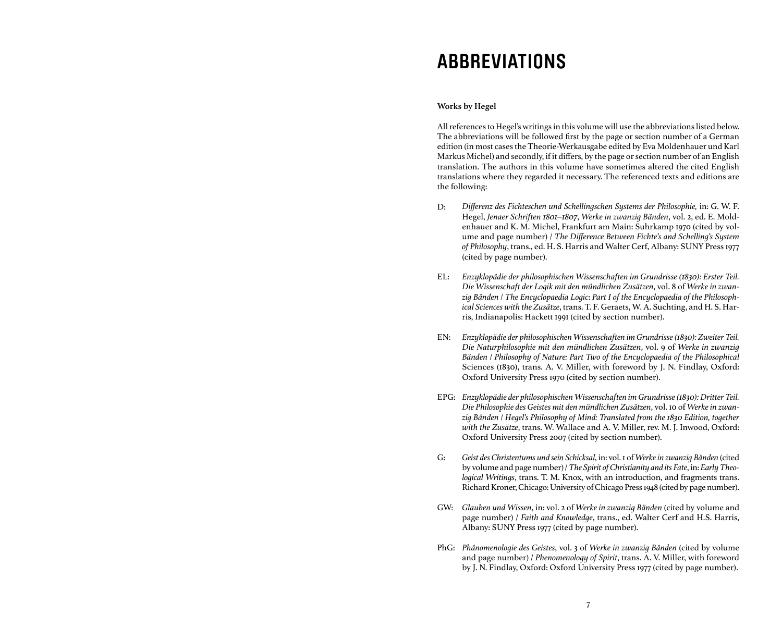## **ABBREVIATIONS**

## **Works by Hegel**

All references to Hegel's writings in this volume will use the abbreviations listed below. The abbreviations will be followed first by the page or section number of a German edition (in most cases the Theorie-Werkausgabe edited by Eva Moldenhauer und Karl Markus Michel) and secondly, if it differs, by the page or section number of an English translation. The authors in this volume have sometimes altered the cited English translations where they regarded it necessary. The referenced texts and editions are the following:

- *Differenz des Fichteschen und Schellingschen Systems der Philosophie,* in: G. W. F. Hegel, *Jenaer Schriften 1801–1807*, *Werke in zwanzig Bänden*, vol. 2, ed. E. Moldenhauer and K. M. Michel, Frankfurt am Main: Suhrkamp 1970 (cited by volume and page number) / *The Difference Between Fichte's and Schelling's System of Philosophy*, trans., ed. H. S. Harris and Walter Cerf, Albany: SUNY Press 1977 (cited by page number). D:
- *Enzyklopädie der philosophischen Wissenschaften im Grundrisse (1830): Erster Teil.*  EL: *Die Wissenschaft der Logik mit den mündlichen Zusätzen*, vol. 8 of *Werke in zwanzig Bänden* / *The Encyclopaedia Logic*: *Part I of the Encyclopaedia of the Philosophical Sciences with the Zusätze*, trans. T. F. Geraets, W. A. Suchting, and H. S. Harris, Indianapolis: Hackett 1991 (cited by section number).
- *Enzyklopädie der philosophischen Wissenschaften im Grundrisse (1830): Zweiter Teil. Die Naturphilosophie mit den mündlichen Zusätzen*, vol. 9 of *Werke in zwanzig Bänden* / *Philosophy of Nature: Part Two of the Encyclopaedia of the Philosophical*  Sciences (1830), trans. A. V. Miller, with foreword by J. N. Findlay, Oxford: Oxford University Press 1970 (cited by section number). EN:
- *Enzyklopädie der philosophischen Wissenschaften im Grundrisse (1830): Dritter Teil.*  EPG: *Die Philosophie des Geistes mit den mündlichen Zusätzen*, vol. 10 of *Werke in zwanzig Bänden* / *Hegel's Philosophy of Mind: Translated from the 1830 Edition, together with the Zusätze*, trans. W. Wallace and A. V. Miller, rev. M. J. Inwood, Oxford: Oxford University Press 2007 (cited by section number).
- *Geist des Christentums und sein Schicksal*, in: vol. 1 of *Werke in zwanzig Bänden* (cited by volume and page number) / *The Spirit of Christianity and its Fate*, in: *Early Theological Writings*, trans. T. M. Knox, with an introduction, and fragments trans. Richard Kroner, Chicago: University of Chicago Press 1948 (cited by page number). G:
- *Glauben und Wissen*, in: vol. 2 of *Werke in zwanzig Bänden* (cited by volume and GW: page number) / *Faith and Knowledge*, trans., ed. Walter Cerf and H.S. Harris, Albany: SUNY Press 1977 (cited by page number).
- *Phänomenologie des Geistes*, vol. 3 of *Werke in zwanzig Bänden* (cited by volume PhG:and page number) / *Phenomenology of Spirit*, trans. A. V. Miller, with foreword by J. N. Findlay, Oxford: Oxford University Press 1977 (cited by page number).